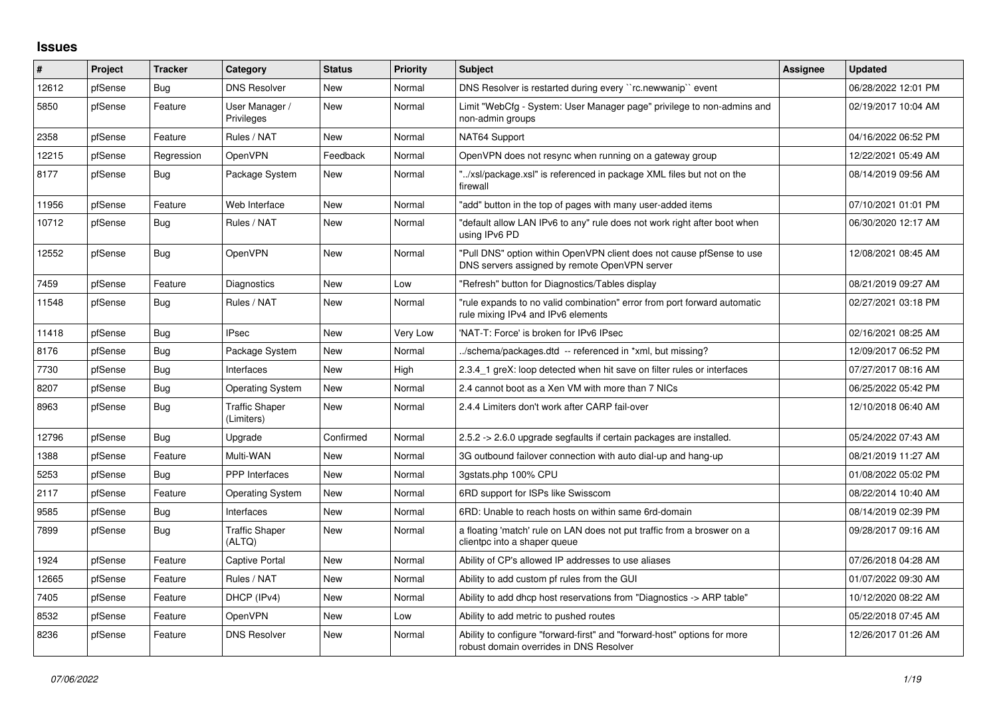## **Issues**

| #     | Project | <b>Tracker</b> | Category                            | <b>Status</b> | <b>Priority</b> | <b>Subject</b>                                                                                                         | Assignee | <b>Updated</b>      |
|-------|---------|----------------|-------------------------------------|---------------|-----------------|------------------------------------------------------------------------------------------------------------------------|----------|---------------------|
| 12612 | pfSense | Bug            | <b>DNS Resolver</b>                 | <b>New</b>    | Normal          | DNS Resolver is restarted during every "rc.newwanip" event                                                             |          | 06/28/2022 12:01 PM |
| 5850  | pfSense | Feature        | User Manager /<br>Privileges        | <b>New</b>    | Normal          | Limit "WebCfg - System: User Manager page" privilege to non-admins and<br>non-admin groups                             |          | 02/19/2017 10:04 AM |
| 2358  | pfSense | Feature        | Rules / NAT                         | New           | Normal          | NAT64 Support                                                                                                          |          | 04/16/2022 06:52 PM |
| 12215 | pfSense | Regression     | OpenVPN                             | Feedback      | Normal          | OpenVPN does not resync when running on a gateway group                                                                |          | 12/22/2021 05:49 AM |
| 8177  | pfSense | Bug            | Package System                      | New           | Normal          | "/xsl/package.xsl" is referenced in package XML files but not on the<br>firewall                                       |          | 08/14/2019 09:56 AM |
| 11956 | pfSense | Feature        | Web Interface                       | New           | Normal          | "add" button in the top of pages with many user-added items                                                            |          | 07/10/2021 01:01 PM |
| 10712 | pfSense | <b>Bug</b>     | Rules / NAT                         | New           | Normal          | 'default allow LAN IPv6 to any" rule does not work right after boot when<br>using IPv6 PD                              |          | 06/30/2020 12:17 AM |
| 12552 | pfSense | <b>Bug</b>     | OpenVPN                             | New           | Normal          | "Pull DNS" option within OpenVPN client does not cause pfSense to use<br>DNS servers assigned by remote OpenVPN server |          | 12/08/2021 08:45 AM |
| 7459  | pfSense | Feature        | Diagnostics                         | New           | Low             | "Refresh" button for Diagnostics/Tables display                                                                        |          | 08/21/2019 09:27 AM |
| 11548 | pfSense | Bug            | Rules / NAT                         | New           | Normal          | 'rule expands to no valid combination" error from port forward automatic<br>rule mixing IPv4 and IPv6 elements         |          | 02/27/2021 03:18 PM |
| 11418 | pfSense | Bug            | <b>IPsec</b>                        | New           | Very Low        | 'NAT-T: Force' is broken for IPv6 IPsec                                                                                |          | 02/16/2021 08:25 AM |
| 8176  | pfSense | Bug            | Package System                      | <b>New</b>    | Normal          | ./schema/packages.dtd -- referenced in *xml, but missing?                                                              |          | 12/09/2017 06:52 PM |
| 7730  | pfSense | Bug            | Interfaces                          | New           | High            | 2.3.4 1 greX: loop detected when hit save on filter rules or interfaces                                                |          | 07/27/2017 08:16 AM |
| 8207  | pfSense | Bug            | <b>Operating System</b>             | <b>New</b>    | Normal          | 2.4 cannot boot as a Xen VM with more than 7 NICs                                                                      |          | 06/25/2022 05:42 PM |
| 8963  | pfSense | Bug            | <b>Traffic Shaper</b><br>(Limiters) | New           | Normal          | 2.4.4 Limiters don't work after CARP fail-over                                                                         |          | 12/10/2018 06:40 AM |
| 12796 | pfSense | Bug            | Upgrade                             | Confirmed     | Normal          | 2.5.2 -> 2.6.0 upgrade segfaults if certain packages are installed.                                                    |          | 05/24/2022 07:43 AM |
| 1388  | pfSense | Feature        | Multi-WAN                           | <b>New</b>    | Normal          | 3G outbound failover connection with auto dial-up and hang-up                                                          |          | 08/21/2019 11:27 AM |
| 5253  | pfSense | <b>Bug</b>     | PPP Interfaces                      | New           | Normal          | 3qstats.php 100% CPU                                                                                                   |          | 01/08/2022 05:02 PM |
| 2117  | pfSense | Feature        | <b>Operating System</b>             | <b>New</b>    | Normal          | 6RD support for ISPs like Swisscom                                                                                     |          | 08/22/2014 10:40 AM |
| 9585  | pfSense | Bug            | Interfaces                          | New           | Normal          | 6RD: Unable to reach hosts on within same 6rd-domain                                                                   |          | 08/14/2019 02:39 PM |
| 7899  | pfSense | Bug            | <b>Traffic Shaper</b><br>(ALTQ)     | New           | Normal          | a floating 'match' rule on LAN does not put traffic from a broswer on a<br>clientpc into a shaper queue                |          | 09/28/2017 09:16 AM |
| 1924  | pfSense | Feature        | Captive Portal                      | <b>New</b>    | Normal          | Ability of CP's allowed IP addresses to use aliases                                                                    |          | 07/26/2018 04:28 AM |
| 12665 | pfSense | Feature        | Rules / NAT                         | New           | Normal          | Ability to add custom pf rules from the GUI                                                                            |          | 01/07/2022 09:30 AM |
| 7405  | pfSense | Feature        | DHCP (IPv4)                         | New           | Normal          | Ability to add dhcp host reservations from "Diagnostics -> ARP table"                                                  |          | 10/12/2020 08:22 AM |
| 8532  | pfSense | Feature        | OpenVPN                             | <b>New</b>    | Low             | Ability to add metric to pushed routes                                                                                 |          | 05/22/2018 07:45 AM |
| 8236  | pfSense | Feature        | <b>DNS Resolver</b>                 | <b>New</b>    | Normal          | Ability to configure "forward-first" and "forward-host" options for more<br>robust domain overrides in DNS Resolver    |          | 12/26/2017 01:26 AM |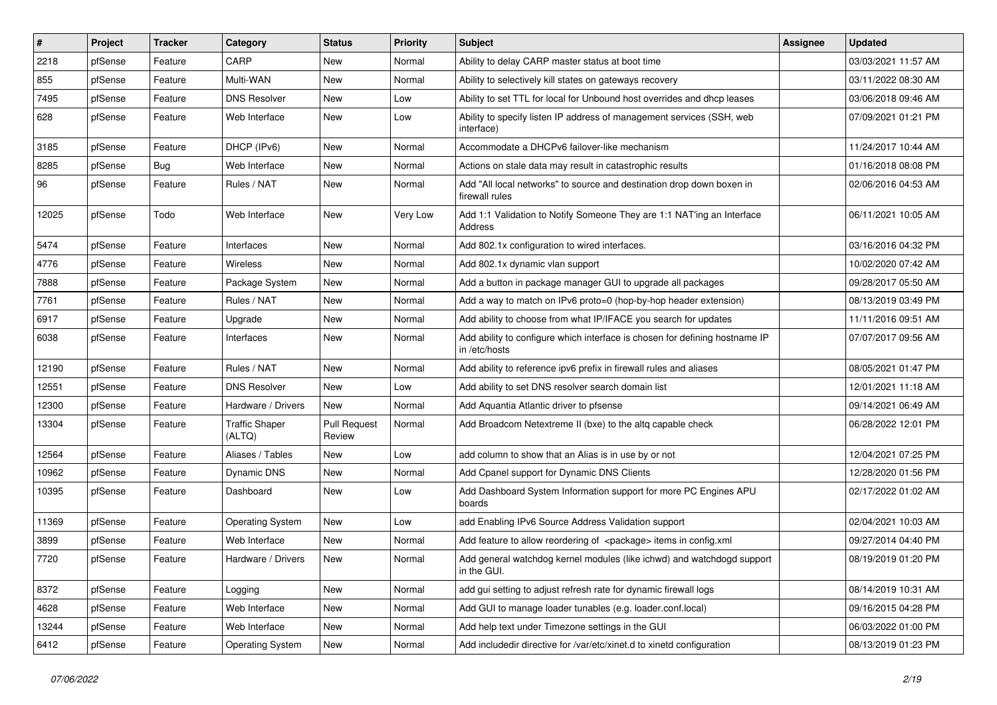| $\vert$ # | Project | <b>Tracker</b> | Category                        | <b>Status</b>                 | <b>Priority</b> | <b>Subject</b>                                                                               | <b>Assignee</b> | <b>Updated</b>      |
|-----------|---------|----------------|---------------------------------|-------------------------------|-----------------|----------------------------------------------------------------------------------------------|-----------------|---------------------|
| 2218      | pfSense | Feature        | CARP                            | New                           | Normal          | Ability to delay CARP master status at boot time                                             |                 | 03/03/2021 11:57 AM |
| 855       | pfSense | Feature        | Multi-WAN                       | New                           | Normal          | Ability to selectively kill states on gateways recovery                                      |                 | 03/11/2022 08:30 AM |
| 7495      | pfSense | Feature        | <b>DNS Resolver</b>             | New                           | Low             | Ability to set TTL for local for Unbound host overrides and dhcp leases                      |                 | 03/06/2018 09:46 AM |
| 628       | pfSense | Feature        | Web Interface                   | New                           | Low             | Ability to specify listen IP address of management services (SSH, web<br>interface)          |                 | 07/09/2021 01:21 PM |
| 3185      | pfSense | Feature        | DHCP (IPv6)                     | <b>New</b>                    | Normal          | Accommodate a DHCPv6 failover-like mechanism                                                 |                 | 11/24/2017 10:44 AM |
| 8285      | pfSense | Bug            | Web Interface                   | New                           | Normal          | Actions on stale data may result in catastrophic results                                     |                 | 01/16/2018 08:08 PM |
| 96        | pfSense | Feature        | Rules / NAT                     | New                           | Normal          | Add "All local networks" to source and destination drop down boxen in<br>firewall rules      |                 | 02/06/2016 04:53 AM |
| 12025     | pfSense | Todo           | Web Interface                   | New                           | Very Low        | Add 1:1 Validation to Notify Someone They are 1:1 NAT'ing an Interface<br>Address            |                 | 06/11/2021 10:05 AM |
| 5474      | pfSense | Feature        | Interfaces                      | <b>New</b>                    | Normal          | Add 802.1x configuration to wired interfaces.                                                |                 | 03/16/2016 04:32 PM |
| 4776      | pfSense | Feature        | Wireless                        | New                           | Normal          | Add 802.1x dynamic vlan support                                                              |                 | 10/02/2020 07:42 AM |
| 7888      | pfSense | Feature        | Package System                  | New                           | Normal          | Add a button in package manager GUI to upgrade all packages                                  |                 | 09/28/2017 05:50 AM |
| 7761      | pfSense | Feature        | Rules / NAT                     | New                           | Normal          | Add a way to match on IPv6 proto=0 (hop-by-hop header extension)                             |                 | 08/13/2019 03:49 PM |
| 6917      | pfSense | Feature        | Upgrade                         | New                           | Normal          | Add ability to choose from what IP/IFACE you search for updates                              |                 | 11/11/2016 09:51 AM |
| 6038      | pfSense | Feature        | Interfaces                      | New                           | Normal          | Add ability to configure which interface is chosen for defining hostname IP<br>in /etc/hosts |                 | 07/07/2017 09:56 AM |
| 12190     | pfSense | Feature        | Rules / NAT                     | New                           | Normal          | Add ability to reference ipv6 prefix in firewall rules and aliases                           |                 | 08/05/2021 01:47 PM |
| 12551     | pfSense | Feature        | <b>DNS Resolver</b>             | New                           | Low             | Add ability to set DNS resolver search domain list                                           |                 | 12/01/2021 11:18 AM |
| 12300     | pfSense | Feature        | Hardware / Drivers              | New                           | Normal          | Add Aquantia Atlantic driver to pfsense                                                      |                 | 09/14/2021 06:49 AM |
| 13304     | pfSense | Feature        | <b>Traffic Shaper</b><br>(ALTQ) | <b>Pull Request</b><br>Review | Normal          | Add Broadcom Netextreme II (bxe) to the altq capable check                                   |                 | 06/28/2022 12:01 PM |
| 12564     | pfSense | Feature        | Aliases / Tables                | <b>New</b>                    | Low             | add column to show that an Alias is in use by or not                                         |                 | 12/04/2021 07:25 PM |
| 10962     | pfSense | Feature        | Dynamic DNS                     | New                           | Normal          | Add Cpanel support for Dynamic DNS Clients                                                   |                 | 12/28/2020 01:56 PM |
| 10395     | pfSense | Feature        | Dashboard                       | New                           | Low             | Add Dashboard System Information support for more PC Engines APU<br>boards                   |                 | 02/17/2022 01:02 AM |
| 11369     | pfSense | Feature        | <b>Operating System</b>         | New                           | Low             | add Enabling IPv6 Source Address Validation support                                          |                 | 02/04/2021 10:03 AM |
| 3899      | pfSense | Feature        | Web Interface                   | New                           | Normal          | Add feature to allow reordering of <package> items in config.xml</package>                   |                 | 09/27/2014 04:40 PM |
| 7720      | pfSense | Feature        | Hardware / Drivers              | <b>New</b>                    | Normal          | Add general watchdog kernel modules (like ichwd) and watchdogd support<br>in the GUI.        |                 | 08/19/2019 01:20 PM |
| 8372      | pfSense | Feature        | Logging                         | New                           | Normal          | add gui setting to adjust refresh rate for dynamic firewall logs                             |                 | 08/14/2019 10:31 AM |
| 4628      | pfSense | Feature        | Web Interface                   | New                           | Normal          | Add GUI to manage loader tunables (e.g. loader.conf.local)                                   |                 | 09/16/2015 04:28 PM |
| 13244     | pfSense | Feature        | Web Interface                   | New                           | Normal          | Add help text under Timezone settings in the GUI                                             |                 | 06/03/2022 01:00 PM |
| 6412      | pfSense | Feature        | <b>Operating System</b>         | New                           | Normal          | Add includedir directive for /var/etc/xinet.d to xinetd configuration                        |                 | 08/13/2019 01:23 PM |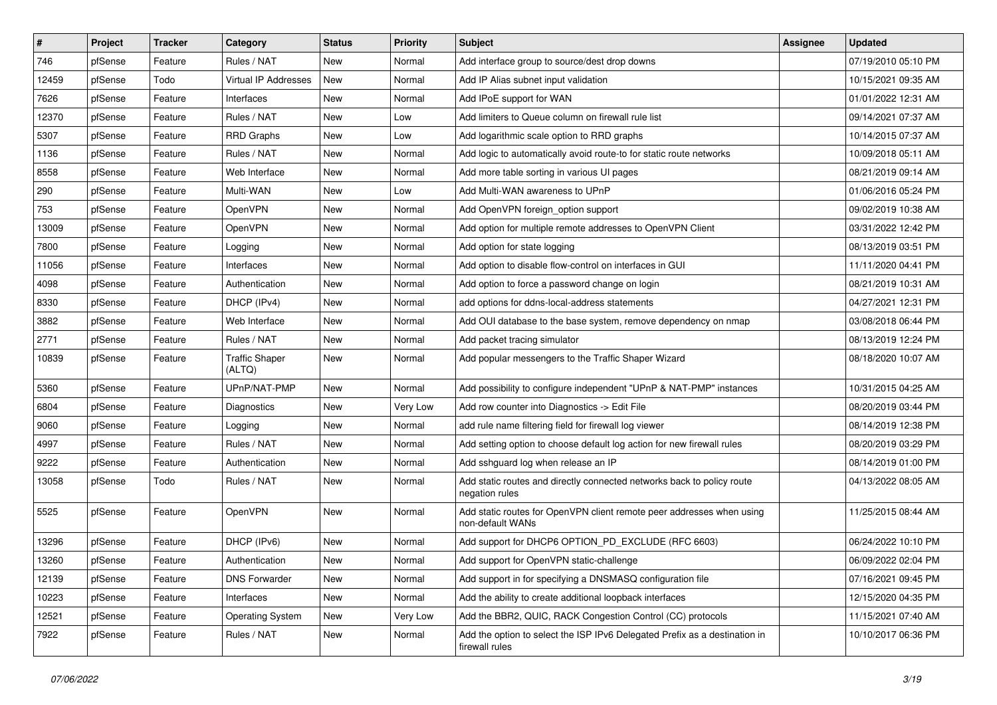| #     | Project | <b>Tracker</b> | Category                        | <b>Status</b> | <b>Priority</b> | <b>Subject</b>                                                                               | <b>Assignee</b> | <b>Updated</b>      |
|-------|---------|----------------|---------------------------------|---------------|-----------------|----------------------------------------------------------------------------------------------|-----------------|---------------------|
| 746   | pfSense | Feature        | Rules / NAT                     | New           | Normal          | Add interface group to source/dest drop downs                                                |                 | 07/19/2010 05:10 PM |
| 12459 | pfSense | Todo           | <b>Virtual IP Addresses</b>     | <b>New</b>    | Normal          | Add IP Alias subnet input validation                                                         |                 | 10/15/2021 09:35 AM |
| 7626  | pfSense | Feature        | Interfaces                      | New           | Normal          | Add IPoE support for WAN                                                                     |                 | 01/01/2022 12:31 AM |
| 12370 | pfSense | Feature        | Rules / NAT                     | New           | Low             | Add limiters to Queue column on firewall rule list                                           |                 | 09/14/2021 07:37 AM |
| 5307  | pfSense | Feature        | <b>RRD Graphs</b>               | New           | Low             | Add logarithmic scale option to RRD graphs                                                   |                 | 10/14/2015 07:37 AM |
| 1136  | pfSense | Feature        | Rules / NAT                     | New           | Normal          | Add logic to automatically avoid route-to for static route networks                          |                 | 10/09/2018 05:11 AM |
| 8558  | pfSense | Feature        | Web Interface                   | New           | Normal          | Add more table sorting in various UI pages                                                   |                 | 08/21/2019 09:14 AM |
| 290   | pfSense | Feature        | Multi-WAN                       | New           | Low             | Add Multi-WAN awareness to UPnP                                                              |                 | 01/06/2016 05:24 PM |
| 753   | pfSense | Feature        | OpenVPN                         | New           | Normal          | Add OpenVPN foreign_option support                                                           |                 | 09/02/2019 10:38 AM |
| 13009 | pfSense | Feature        | OpenVPN                         | <b>New</b>    | Normal          | Add option for multiple remote addresses to OpenVPN Client                                   |                 | 03/31/2022 12:42 PM |
| 7800  | pfSense | Feature        | Logging                         | New           | Normal          | Add option for state logging                                                                 |                 | 08/13/2019 03:51 PM |
| 11056 | pfSense | Feature        | Interfaces                      | New           | Normal          | Add option to disable flow-control on interfaces in GUI                                      |                 | 11/11/2020 04:41 PM |
| 4098  | pfSense | Feature        | Authentication                  | <b>New</b>    | Normal          | Add option to force a password change on login                                               |                 | 08/21/2019 10:31 AM |
| 8330  | pfSense | Feature        | DHCP (IPv4)                     | <b>New</b>    | Normal          | add options for ddns-local-address statements                                                |                 | 04/27/2021 12:31 PM |
| 3882  | pfSense | Feature        | Web Interface                   | New           | Normal          | Add OUI database to the base system, remove dependency on nmap                               |                 | 03/08/2018 06:44 PM |
| 2771  | pfSense | Feature        | Rules / NAT                     | New           | Normal          | Add packet tracing simulator                                                                 |                 | 08/13/2019 12:24 PM |
| 10839 | pfSense | Feature        | <b>Traffic Shaper</b><br>(ALTQ) | New           | Normal          | Add popular messengers to the Traffic Shaper Wizard                                          |                 | 08/18/2020 10:07 AM |
| 5360  | pfSense | Feature        | UPnP/NAT-PMP                    | <b>New</b>    | Normal          | Add possibility to configure independent "UPnP & NAT-PMP" instances                          |                 | 10/31/2015 04:25 AM |
| 6804  | pfSense | Feature        | Diagnostics                     | New           | Very Low        | Add row counter into Diagnostics -> Edit File                                                |                 | 08/20/2019 03:44 PM |
| 9060  | pfSense | Feature        | Logging                         | New           | Normal          | add rule name filtering field for firewall log viewer                                        |                 | 08/14/2019 12:38 PM |
| 4997  | pfSense | Feature        | Rules / NAT                     | <b>New</b>    | Normal          | Add setting option to choose default log action for new firewall rules                       |                 | 08/20/2019 03:29 PM |
| 9222  | pfSense | Feature        | Authentication                  | New           | Normal          | Add sshguard log when release an IP                                                          |                 | 08/14/2019 01:00 PM |
| 13058 | pfSense | Todo           | Rules / NAT                     | New           | Normal          | Add static routes and directly connected networks back to policy route<br>negation rules     |                 | 04/13/2022 08:05 AM |
| 5525  | pfSense | Feature        | OpenVPN                         | New           | Normal          | Add static routes for OpenVPN client remote peer addresses when using<br>non-default WANs    |                 | 11/25/2015 08:44 AM |
| 13296 | pfSense | Feature        | DHCP (IPv6)                     | New           | Normal          | Add support for DHCP6 OPTION PD EXCLUDE (RFC 6603)                                           |                 | 06/24/2022 10:10 PM |
| 13260 | pfSense | Feature        | Authentication                  | New           | Normal          | Add support for OpenVPN static-challenge                                                     |                 | 06/09/2022 02:04 PM |
| 12139 | pfSense | Feature        | <b>DNS Forwarder</b>            | New           | Normal          | Add support in for specifying a DNSMASQ configuration file                                   |                 | 07/16/2021 09:45 PM |
| 10223 | pfSense | Feature        | Interfaces                      | New           | Normal          | Add the ability to create additional loopback interfaces                                     |                 | 12/15/2020 04:35 PM |
| 12521 | pfSense | Feature        | <b>Operating System</b>         | New           | Very Low        | Add the BBR2, QUIC, RACK Congestion Control (CC) protocols                                   |                 | 11/15/2021 07:40 AM |
| 7922  | pfSense | Feature        | Rules / NAT                     | New           | Normal          | Add the option to select the ISP IPv6 Delegated Prefix as a destination in<br>firewall rules |                 | 10/10/2017 06:36 PM |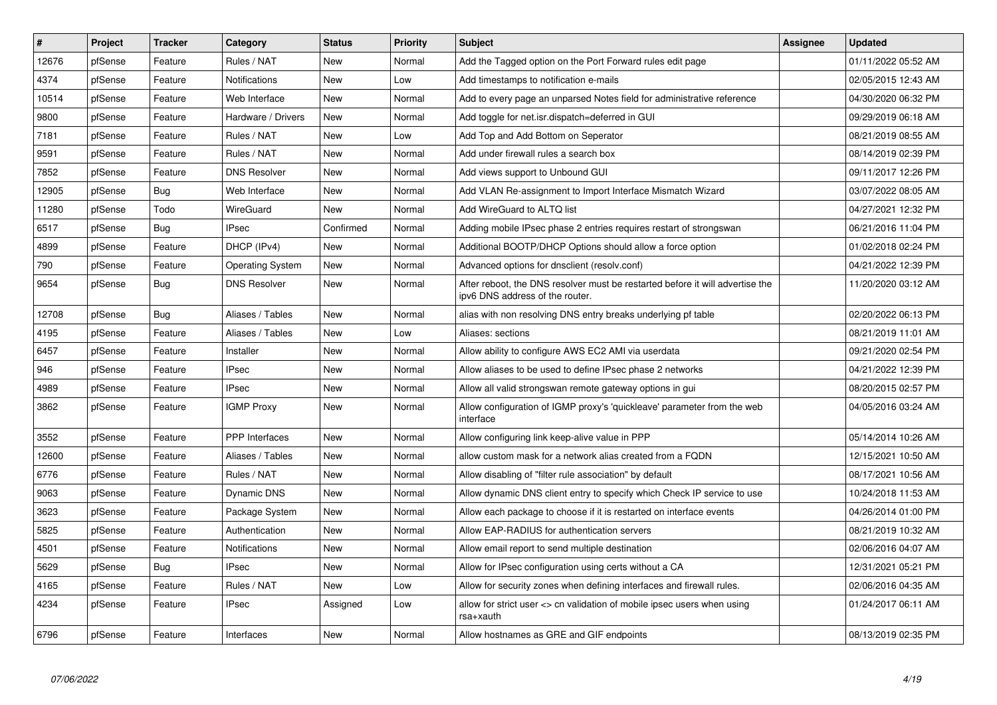| $\vert$ # | Project | <b>Tracker</b> | Category                | <b>Status</b> | <b>Priority</b> | <b>Subject</b>                                                                                                   | <b>Assignee</b> | <b>Updated</b>      |
|-----------|---------|----------------|-------------------------|---------------|-----------------|------------------------------------------------------------------------------------------------------------------|-----------------|---------------------|
| 12676     | pfSense | Feature        | Rules / NAT             | New           | Normal          | Add the Tagged option on the Port Forward rules edit page                                                        |                 | 01/11/2022 05:52 AM |
| 4374      | pfSense | Feature        | Notifications           | <b>New</b>    | Low             | Add timestamps to notification e-mails                                                                           |                 | 02/05/2015 12:43 AM |
| 10514     | pfSense | Feature        | Web Interface           | New           | Normal          | Add to every page an unparsed Notes field for administrative reference                                           |                 | 04/30/2020 06:32 PM |
| 9800      | pfSense | Feature        | Hardware / Drivers      | <b>New</b>    | Normal          | Add toggle for net.isr.dispatch=deferred in GUI                                                                  |                 | 09/29/2019 06:18 AM |
| 7181      | pfSense | Feature        | Rules / NAT             | New           | Low             | Add Top and Add Bottom on Seperator                                                                              |                 | 08/21/2019 08:55 AM |
| 9591      | pfSense | Feature        | Rules / NAT             | <b>New</b>    | Normal          | Add under firewall rules a search box                                                                            |                 | 08/14/2019 02:39 PM |
| 7852      | pfSense | Feature        | <b>DNS Resolver</b>     | New           | Normal          | Add views support to Unbound GUI                                                                                 |                 | 09/11/2017 12:26 PM |
| 12905     | pfSense | <b>Bug</b>     | Web Interface           | New           | Normal          | Add VLAN Re-assignment to Import Interface Mismatch Wizard                                                       |                 | 03/07/2022 08:05 AM |
| 11280     | pfSense | Todo           | <b>WireGuard</b>        | New           | Normal          | Add WireGuard to ALTQ list                                                                                       |                 | 04/27/2021 12:32 PM |
| 6517      | pfSense | <b>Bug</b>     | IPsec                   | Confirmed     | Normal          | Adding mobile IPsec phase 2 entries requires restart of strongswan                                               |                 | 06/21/2016 11:04 PM |
| 4899      | pfSense | Feature        | DHCP (IPv4)             | <b>New</b>    | Normal          | Additional BOOTP/DHCP Options should allow a force option                                                        |                 | 01/02/2018 02:24 PM |
| 790       | pfSense | Feature        | <b>Operating System</b> | <b>New</b>    | Normal          | Advanced options for dnsclient (resolv.conf)                                                                     |                 | 04/21/2022 12:39 PM |
| 9654      | pfSense | Bug            | <b>DNS Resolver</b>     | <b>New</b>    | Normal          | After reboot, the DNS resolver must be restarted before it will advertise the<br>ipv6 DNS address of the router. |                 | 11/20/2020 03:12 AM |
| 12708     | pfSense | <b>Bug</b>     | Aliases / Tables        | <b>New</b>    | Normal          | alias with non resolving DNS entry breaks underlying pf table                                                    |                 | 02/20/2022 06:13 PM |
| 4195      | pfSense | Feature        | Aliases / Tables        | <b>New</b>    | Low             | Aliases: sections                                                                                                |                 | 08/21/2019 11:01 AM |
| 6457      | pfSense | Feature        | Installer               | <b>New</b>    | Normal          | Allow ability to configure AWS EC2 AMI via userdata                                                              |                 | 09/21/2020 02:54 PM |
| 946       | pfSense | Feature        | <b>IPsec</b>            | New           | Normal          | Allow aliases to be used to define IPsec phase 2 networks                                                        |                 | 04/21/2022 12:39 PM |
| 4989      | pfSense | Feature        | <b>IPsec</b>            | <b>New</b>    | Normal          | Allow all valid strongswan remote gateway options in gui                                                         |                 | 08/20/2015 02:57 PM |
| 3862      | pfSense | Feature        | <b>IGMP Proxy</b>       | <b>New</b>    | Normal          | Allow configuration of IGMP proxy's 'quickleave' parameter from the web<br>interface                             |                 | 04/05/2016 03:24 AM |
| 3552      | pfSense | Feature        | PPP Interfaces          | <b>New</b>    | Normal          | Allow configuring link keep-alive value in PPP                                                                   |                 | 05/14/2014 10:26 AM |
| 12600     | pfSense | Feature        | Aliases / Tables        | <b>New</b>    | Normal          | allow custom mask for a network alias created from a FQDN                                                        |                 | 12/15/2021 10:50 AM |
| 6776      | pfSense | Feature        | Rules / NAT             | New           | Normal          | Allow disabling of "filter rule association" by default                                                          |                 | 08/17/2021 10:56 AM |
| 9063      | pfSense | Feature        | Dynamic DNS             | <b>New</b>    | Normal          | Allow dynamic DNS client entry to specify which Check IP service to use                                          |                 | 10/24/2018 11:53 AM |
| 3623      | pfSense | Feature        | Package System          | <b>New</b>    | Normal          | Allow each package to choose if it is restarted on interface events                                              |                 | 04/26/2014 01:00 PM |
| 5825      | pfSense | Feature        | Authentication          | <b>New</b>    | Normal          | Allow EAP-RADIUS for authentication servers                                                                      |                 | 08/21/2019 10:32 AM |
| 4501      | pfSense | Feature        | Notifications           | New           | Normal          | Allow email report to send multiple destination                                                                  |                 | 02/06/2016 04:07 AM |
| 5629      | pfSense | <b>Bug</b>     | <b>IPsec</b>            | <b>New</b>    | Normal          | Allow for IPsec configuration using certs without a CA                                                           |                 | 12/31/2021 05:21 PM |
| 4165      | pfSense | Feature        | Rules / NAT             | <b>New</b>    | Low             | Allow for security zones when defining interfaces and firewall rules.                                            |                 | 02/06/2016 04:35 AM |
| 4234      | pfSense | Feature        | IPsec                   | Assigned      | Low             | allow for strict user <> cn validation of mobile ipsec users when using<br>rsa+xauth                             |                 | 01/24/2017 06:11 AM |
| 6796      | pfSense | Feature        | Interfaces              | New           | Normal          | Allow hostnames as GRE and GIF endpoints                                                                         |                 | 08/13/2019 02:35 PM |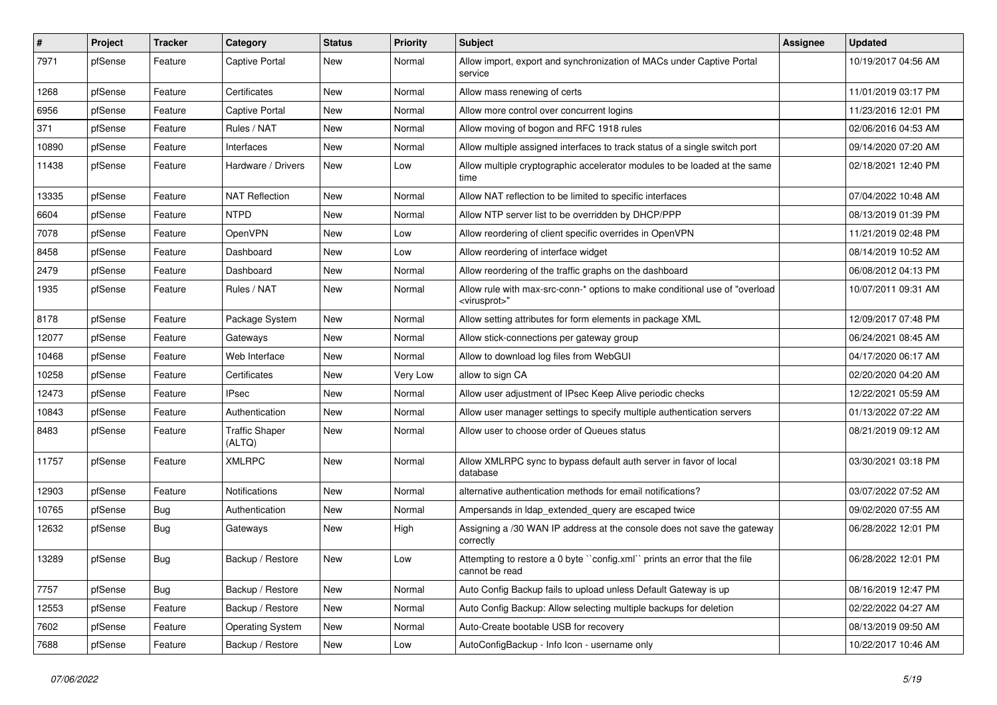| $\sharp$ | Project | <b>Tracker</b> | Category                        | <b>Status</b> | <b>Priority</b> | <b>Subject</b>                                                                                           | <b>Assignee</b> | <b>Updated</b>      |
|----------|---------|----------------|---------------------------------|---------------|-----------------|----------------------------------------------------------------------------------------------------------|-----------------|---------------------|
| 7971     | pfSense | Feature        | Captive Portal                  | New           | Normal          | Allow import, export and synchronization of MACs under Captive Portal<br>service                         |                 | 10/19/2017 04:56 AM |
| 1268     | pfSense | Feature        | Certificates                    | New           | Normal          | Allow mass renewing of certs                                                                             |                 | 11/01/2019 03:17 PM |
| 6956     | pfSense | Feature        | Captive Portal                  | New           | Normal          | Allow more control over concurrent logins                                                                |                 | 11/23/2016 12:01 PM |
| 371      | pfSense | Feature        | Rules / NAT                     | <b>New</b>    | Normal          | Allow moving of bogon and RFC 1918 rules                                                                 |                 | 02/06/2016 04:53 AM |
| 10890    | pfSense | Feature        | Interfaces                      | New           | Normal          | Allow multiple assigned interfaces to track status of a single switch port                               |                 | 09/14/2020 07:20 AM |
| 11438    | pfSense | Feature        | Hardware / Drivers              | New           | Low             | Allow multiple cryptographic accelerator modules to be loaded at the same<br>time                        |                 | 02/18/2021 12:40 PM |
| 13335    | pfSense | Feature        | <b>NAT Reflection</b>           | <b>New</b>    | Normal          | Allow NAT reflection to be limited to specific interfaces                                                |                 | 07/04/2022 10:48 AM |
| 6604     | pfSense | Feature        | <b>NTPD</b>                     | New           | Normal          | Allow NTP server list to be overridden by DHCP/PPP                                                       |                 | 08/13/2019 01:39 PM |
| 7078     | pfSense | Feature        | OpenVPN                         | New           | Low             | Allow reordering of client specific overrides in OpenVPN                                                 |                 | 11/21/2019 02:48 PM |
| 8458     | pfSense | Feature        | Dashboard                       | New           | Low             | Allow reordering of interface widget                                                                     |                 | 08/14/2019 10:52 AM |
| 2479     | pfSense | Feature        | Dashboard                       | <b>New</b>    | Normal          | Allow reordering of the traffic graphs on the dashboard                                                  |                 | 06/08/2012 04:13 PM |
| 1935     | pfSense | Feature        | Rules / NAT                     | New           | Normal          | Allow rule with max-src-conn-* options to make conditional use of "overload"<br><virusprot>"</virusprot> |                 | 10/07/2011 09:31 AM |
| 8178     | pfSense | Feature        | Package System                  | New           | Normal          | Allow setting attributes for form elements in package XML                                                |                 | 12/09/2017 07:48 PM |
| 12077    | pfSense | Feature        | Gateways                        | <b>New</b>    | Normal          | Allow stick-connections per gateway group                                                                |                 | 06/24/2021 08:45 AM |
| 10468    | pfSense | Feature        | Web Interface                   | <b>New</b>    | Normal          | Allow to download log files from WebGUI                                                                  |                 | 04/17/2020 06:17 AM |
| 10258    | pfSense | Feature        | Certificates                    | New           | Very Low        | allow to sign CA                                                                                         |                 | 02/20/2020 04:20 AM |
| 12473    | pfSense | Feature        | IPsec                           | New           | Normal          | Allow user adjustment of IPsec Keep Alive periodic checks                                                |                 | 12/22/2021 05:59 AM |
| 10843    | pfSense | Feature        | Authentication                  | <b>New</b>    | Normal          | Allow user manager settings to specify multiple authentication servers                                   |                 | 01/13/2022 07:22 AM |
| 8483     | pfSense | Feature        | <b>Traffic Shaper</b><br>(ALTQ) | New           | Normal          | Allow user to choose order of Queues status                                                              |                 | 08/21/2019 09:12 AM |
| 11757    | pfSense | Feature        | <b>XMLRPC</b>                   | New           | Normal          | Allow XMLRPC sync to bypass default auth server in favor of local<br>database                            |                 | 03/30/2021 03:18 PM |
| 12903    | pfSense | Feature        | Notifications                   | New           | Normal          | alternative authentication methods for email notifications?                                              |                 | 03/07/2022 07:52 AM |
| 10765    | pfSense | <b>Bug</b>     | Authentication                  | New           | Normal          | Ampersands in Idap_extended_query are escaped twice                                                      |                 | 09/02/2020 07:55 AM |
| 12632    | pfSense | Bug            | Gateways                        | New           | High            | Assigning a /30 WAN IP address at the console does not save the gateway<br>correctly                     |                 | 06/28/2022 12:01 PM |
| 13289    | pfSense | Bug            | Backup / Restore                | New           | Low             | Attempting to restore a 0 byte "config.xml" prints an error that the file<br>cannot be read              |                 | 06/28/2022 12:01 PM |
| 7757     | pfSense | <b>Bug</b>     | Backup / Restore                | New           | Normal          | Auto Config Backup fails to upload unless Default Gateway is up                                          |                 | 08/16/2019 12:47 PM |
| 12553    | pfSense | Feature        | Backup / Restore                | New           | Normal          | Auto Config Backup: Allow selecting multiple backups for deletion                                        |                 | 02/22/2022 04:27 AM |
| 7602     | pfSense | Feature        | <b>Operating System</b>         | New           | Normal          | Auto-Create bootable USB for recovery                                                                    |                 | 08/13/2019 09:50 AM |
| 7688     | pfSense | Feature        | Backup / Restore                | New           | Low             | AutoConfigBackup - Info Icon - username only                                                             |                 | 10/22/2017 10:46 AM |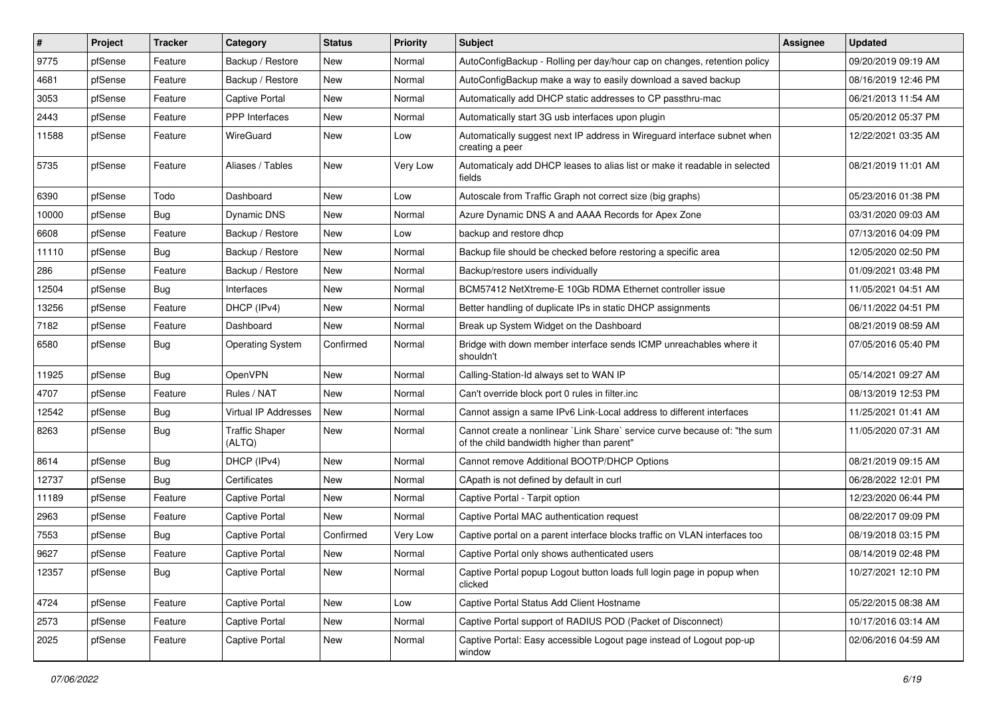| $\vert$ # | Project | <b>Tracker</b> | Category                        | <b>Status</b> | <b>Priority</b> | Subject                                                                                                                 | <b>Assignee</b> | <b>Updated</b>      |
|-----------|---------|----------------|---------------------------------|---------------|-----------------|-------------------------------------------------------------------------------------------------------------------------|-----------------|---------------------|
| 9775      | pfSense | Feature        | Backup / Restore                | New           | Normal          | AutoConfigBackup - Rolling per day/hour cap on changes, retention policy                                                |                 | 09/20/2019 09:19 AM |
| 4681      | pfSense | Feature        | Backup / Restore                | <b>New</b>    | Normal          | AutoConfigBackup make a way to easily download a saved backup                                                           |                 | 08/16/2019 12:46 PM |
| 3053      | pfSense | Feature        | Captive Portal                  | New           | Normal          | Automatically add DHCP static addresses to CP passthru-mac                                                              |                 | 06/21/2013 11:54 AM |
| 2443      | pfSense | Feature        | <b>PPP</b> Interfaces           | New           | Normal          | Automatically start 3G usb interfaces upon plugin                                                                       |                 | 05/20/2012 05:37 PM |
| 11588     | pfSense | Feature        | WireGuard                       | New           | Low             | Automatically suggest next IP address in Wireguard interface subnet when<br>creating a peer                             |                 | 12/22/2021 03:35 AM |
| 5735      | pfSense | Feature        | Aliases / Tables                | <b>New</b>    | Very Low        | Automaticaly add DHCP leases to alias list or make it readable in selected<br>fields                                    |                 | 08/21/2019 11:01 AM |
| 6390      | pfSense | Todo           | Dashboard                       | <b>New</b>    | Low             | Autoscale from Traffic Graph not correct size (big graphs)                                                              |                 | 05/23/2016 01:38 PM |
| 10000     | pfSense | Bug            | Dynamic DNS                     | <b>New</b>    | Normal          | Azure Dynamic DNS A and AAAA Records for Apex Zone                                                                      |                 | 03/31/2020 09:03 AM |
| 6608      | pfSense | Feature        | Backup / Restore                | New           | Low             | backup and restore dhcp                                                                                                 |                 | 07/13/2016 04:09 PM |
| 11110     | pfSense | Bug            | Backup / Restore                | New           | Normal          | Backup file should be checked before restoring a specific area                                                          |                 | 12/05/2020 02:50 PM |
| 286       | pfSense | Feature        | Backup / Restore                | <b>New</b>    | Normal          | Backup/restore users individually                                                                                       |                 | 01/09/2021 03:48 PM |
| 12504     | pfSense | Bug            | Interfaces                      | New           | Normal          | BCM57412 NetXtreme-E 10Gb RDMA Ethernet controller issue                                                                |                 | 11/05/2021 04:51 AM |
| 13256     | pfSense | Feature        | DHCP (IPv4)                     | New           | Normal          | Better handling of duplicate IPs in static DHCP assignments                                                             |                 | 06/11/2022 04:51 PM |
| 7182      | pfSense | Feature        | Dashboard                       | <b>New</b>    | Normal          | Break up System Widget on the Dashboard                                                                                 |                 | 08/21/2019 08:59 AM |
| 6580      | pfSense | Bug            | <b>Operating System</b>         | Confirmed     | Normal          | Bridge with down member interface sends ICMP unreachables where it<br>shouldn't                                         |                 | 07/05/2016 05:40 PM |
| 11925     | pfSense | Bug            | OpenVPN                         | New           | Normal          | Calling-Station-Id always set to WAN IP                                                                                 |                 | 05/14/2021 09:27 AM |
| 4707      | pfSense | Feature        | Rules / NAT                     | <b>New</b>    | Normal          | Can't override block port 0 rules in filter.inc                                                                         |                 | 08/13/2019 12:53 PM |
| 12542     | pfSense | Bug            | <b>Virtual IP Addresses</b>     | <b>New</b>    | Normal          | Cannot assign a same IPv6 Link-Local address to different interfaces                                                    |                 | 11/25/2021 01:41 AM |
| 8263      | pfSense | <b>Bug</b>     | <b>Traffic Shaper</b><br>(ALTQ) | New           | Normal          | Cannot create a nonlinear `Link Share` service curve because of: "the sum<br>of the child bandwidth higher than parent" |                 | 11/05/2020 07:31 AM |
| 8614      | pfSense | Bug            | DHCP (IPv4)                     | <b>New</b>    | Normal          | Cannot remove Additional BOOTP/DHCP Options                                                                             |                 | 08/21/2019 09:15 AM |
| 12737     | pfSense | Bug            | Certificates                    | New           | Normal          | CApath is not defined by default in curl                                                                                |                 | 06/28/2022 12:01 PM |
| 11189     | pfSense | Feature        | Captive Portal                  | <b>New</b>    | Normal          | Captive Portal - Tarpit option                                                                                          |                 | 12/23/2020 06:44 PM |
| 2963      | pfSense | Feature        | Captive Portal                  | New           | Normal          | Captive Portal MAC authentication request                                                                               |                 | 08/22/2017 09:09 PM |
| 7553      | pfSense | <b>Bug</b>     | Captive Portal                  | Confirmed     | Very Low        | Captive portal on a parent interface blocks traffic on VLAN interfaces too                                              |                 | 08/19/2018 03:15 PM |
| 9627      | pfSense | Feature        | <b>Captive Portal</b>           | <b>New</b>    | Normal          | Captive Portal only shows authenticated users                                                                           |                 | 08/14/2019 02:48 PM |
| 12357     | pfSense | <b>Bug</b>     | Captive Portal                  | New           | Normal          | Captive Portal popup Logout button loads full login page in popup when<br>clicked                                       |                 | 10/27/2021 12:10 PM |
| 4724      | pfSense | Feature        | Captive Portal                  | New           | Low             | Captive Portal Status Add Client Hostname                                                                               |                 | 05/22/2015 08:38 AM |
| 2573      | pfSense | Feature        | Captive Portal                  | New           | Normal          | Captive Portal support of RADIUS POD (Packet of Disconnect)                                                             |                 | 10/17/2016 03:14 AM |
| 2025      | pfSense | Feature        | Captive Portal                  | New           | Normal          | Captive Portal: Easy accessible Logout page instead of Logout pop-up<br>window                                          |                 | 02/06/2016 04:59 AM |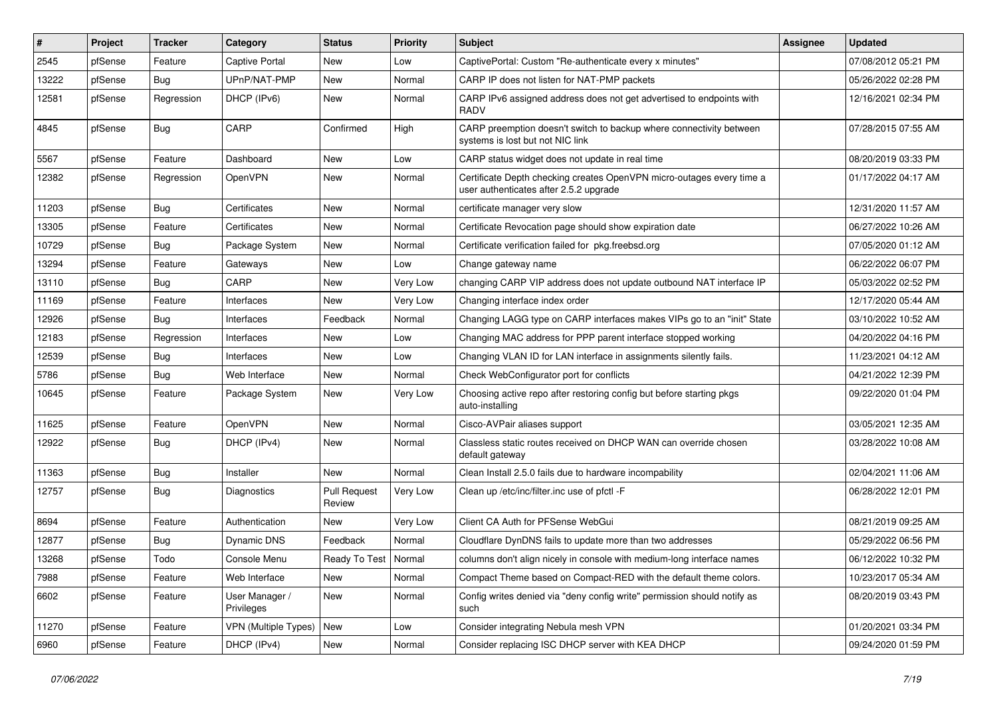| $\#$  | Project | <b>Tracker</b> | Category                     | <b>Status</b>                 | <b>Priority</b> | Subject                                                                                                         | Assignee | <b>Updated</b>      |
|-------|---------|----------------|------------------------------|-------------------------------|-----------------|-----------------------------------------------------------------------------------------------------------------|----------|---------------------|
| 2545  | pfSense | Feature        | Captive Portal               | New                           | Low             | CaptivePortal: Custom "Re-authenticate every x minutes"                                                         |          | 07/08/2012 05:21 PM |
| 13222 | pfSense | Bug            | UPnP/NAT-PMP                 | <b>New</b>                    | Normal          | CARP IP does not listen for NAT-PMP packets                                                                     |          | 05/26/2022 02:28 PM |
| 12581 | pfSense | Regression     | DHCP (IPv6)                  | New                           | Normal          | CARP IPv6 assigned address does not get advertised to endpoints with<br><b>RADV</b>                             |          | 12/16/2021 02:34 PM |
| 4845  | pfSense | Bug            | CARP                         | Confirmed                     | High            | CARP preemption doesn't switch to backup where connectivity between<br>systems is lost but not NIC link         |          | 07/28/2015 07:55 AM |
| 5567  | pfSense | Feature        | Dashboard                    | New                           | Low             | CARP status widget does not update in real time                                                                 |          | 08/20/2019 03:33 PM |
| 12382 | pfSense | Regression     | OpenVPN                      | New                           | Normal          | Certificate Depth checking creates OpenVPN micro-outages every time a<br>user authenticates after 2.5.2 upgrade |          | 01/17/2022 04:17 AM |
| 11203 | pfSense | Bug            | Certificates                 | <b>New</b>                    | Normal          | certificate manager very slow                                                                                   |          | 12/31/2020 11:57 AM |
| 13305 | pfSense | Feature        | Certificates                 | New                           | Normal          | Certificate Revocation page should show expiration date                                                         |          | 06/27/2022 10:26 AM |
| 10729 | pfSense | Bug            | Package System               | New                           | Normal          | Certificate verification failed for pkg.freebsd.org                                                             |          | 07/05/2020 01:12 AM |
| 13294 | pfSense | Feature        | Gateways                     | New                           | Low             | Change gateway name                                                                                             |          | 06/22/2022 06:07 PM |
| 13110 | pfSense | <b>Bug</b>     | CARP                         | New                           | Very Low        | changing CARP VIP address does not update outbound NAT interface IP                                             |          | 05/03/2022 02:52 PM |
| 11169 | pfSense | Feature        | Interfaces                   | New                           | Very Low        | Changing interface index order                                                                                  |          | 12/17/2020 05:44 AM |
| 12926 | pfSense | <b>Bug</b>     | Interfaces                   | Feedback                      | Normal          | Changing LAGG type on CARP interfaces makes VIPs go to an "init" State                                          |          | 03/10/2022 10:52 AM |
| 12183 | pfSense | Regression     | Interfaces                   | New                           | Low             | Changing MAC address for PPP parent interface stopped working                                                   |          | 04/20/2022 04:16 PM |
| 12539 | pfSense | Bug            | Interfaces                   | <b>New</b>                    | Low             | Changing VLAN ID for LAN interface in assignments silently fails.                                               |          | 11/23/2021 04:12 AM |
| 5786  | pfSense | <b>Bug</b>     | Web Interface                | New                           | Normal          | Check WebConfigurator port for conflicts                                                                        |          | 04/21/2022 12:39 PM |
| 10645 | pfSense | Feature        | Package System               | New                           | Very Low        | Choosing active repo after restoring config but before starting pkgs<br>auto-installing                         |          | 09/22/2020 01:04 PM |
| 11625 | pfSense | Feature        | <b>OpenVPN</b>               | New                           | Normal          | Cisco-AVPair aliases support                                                                                    |          | 03/05/2021 12:35 AM |
| 12922 | pfSense | <b>Bug</b>     | DHCP (IPv4)                  | New                           | Normal          | Classless static routes received on DHCP WAN can override chosen<br>default gateway                             |          | 03/28/2022 10:08 AM |
| 11363 | pfSense | Bug            | Installer                    | <b>New</b>                    | Normal          | Clean Install 2.5.0 fails due to hardware incompability                                                         |          | 02/04/2021 11:06 AM |
| 12757 | pfSense | Bug            | Diagnostics                  | <b>Pull Request</b><br>Review | Very Low        | Clean up /etc/inc/filter.inc use of pfctl -F                                                                    |          | 06/28/2022 12:01 PM |
| 8694  | pfSense | Feature        | Authentication               | New                           | Very Low        | Client CA Auth for PFSense WebGui                                                                               |          | 08/21/2019 09:25 AM |
| 12877 | pfSense | <b>Bug</b>     | <b>Dynamic DNS</b>           | Feedback                      | Normal          | Cloudflare DynDNS fails to update more than two addresses                                                       |          | 05/29/2022 06:56 PM |
| 13268 | pfSense | Todo           | Console Menu                 | Ready To Test   Normal        |                 | columns don't align nicely in console with medium-long interface names                                          |          | 06/12/2022 10:32 PM |
| 7988  | pfSense | Feature        | Web Interface                | <b>New</b>                    | Normal          | Compact Theme based on Compact-RED with the default theme colors.                                               |          | 10/23/2017 05:34 AM |
| 6602  | pfSense | Feature        | User Manager /<br>Privileges | New                           | Normal          | Config writes denied via "deny config write" permission should notify as<br>such                                |          | 08/20/2019 03:43 PM |
| 11270 | pfSense | Feature        | <b>VPN (Multiple Types)</b>  | New                           | Low             | Consider integrating Nebula mesh VPN                                                                            |          | 01/20/2021 03:34 PM |
| 6960  | pfSense | Feature        | DHCP (IPv4)                  | New                           | Normal          | Consider replacing ISC DHCP server with KEA DHCP                                                                |          | 09/24/2020 01:59 PM |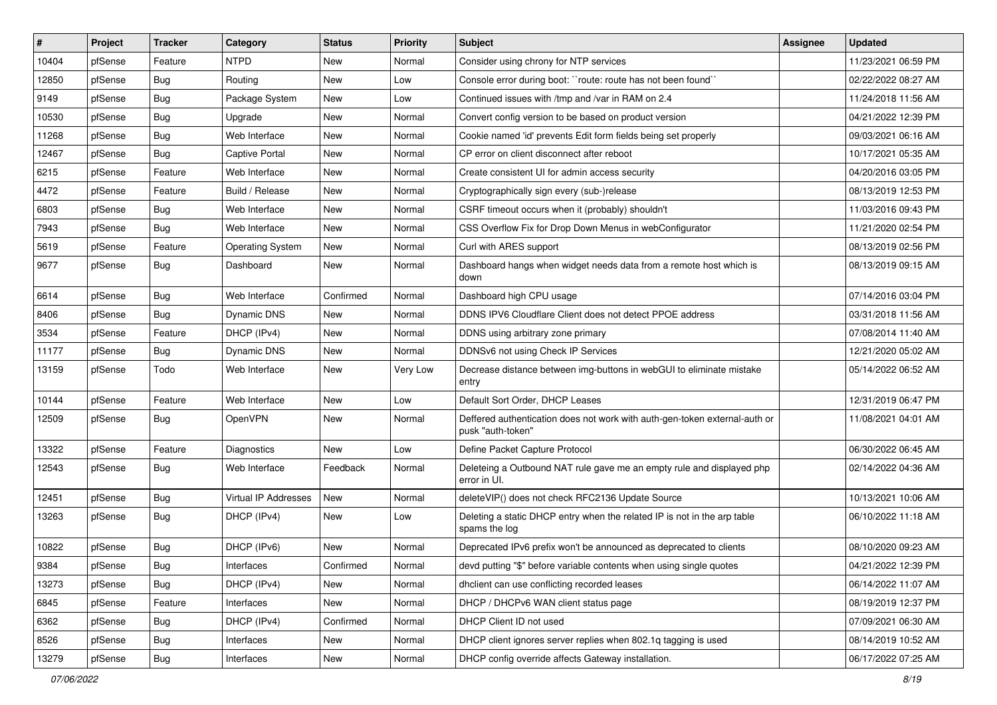| $\vert$ # | Project | <b>Tracker</b> | Category                | <b>Status</b> | <b>Priority</b> | Subject                                                                                         | <b>Assignee</b> | <b>Updated</b>      |
|-----------|---------|----------------|-------------------------|---------------|-----------------|-------------------------------------------------------------------------------------------------|-----------------|---------------------|
| 10404     | pfSense | Feature        | <b>NTPD</b>             | New           | Normal          | Consider using chrony for NTP services                                                          |                 | 11/23/2021 06:59 PM |
| 12850     | pfSense | <b>Bug</b>     | Routing                 | New           | Low             | Console error during boot: "route: route has not been found"                                    |                 | 02/22/2022 08:27 AM |
| 9149      | pfSense | Bug            | Package System          | New           | Low             | Continued issues with /tmp and /var in RAM on 2.4                                               |                 | 11/24/2018 11:56 AM |
| 10530     | pfSense | <b>Bug</b>     | Upgrade                 | <b>New</b>    | Normal          | Convert config version to be based on product version                                           |                 | 04/21/2022 12:39 PM |
| 11268     | pfSense | Bug            | Web Interface           | <b>New</b>    | Normal          | Cookie named 'id' prevents Edit form fields being set properly                                  |                 | 09/03/2021 06:16 AM |
| 12467     | pfSense | <b>Bug</b>     | <b>Captive Portal</b>   | New           | Normal          | CP error on client disconnect after reboot                                                      |                 | 10/17/2021 05:35 AM |
| 6215      | pfSense | Feature        | Web Interface           | New           | Normal          | Create consistent UI for admin access security                                                  |                 | 04/20/2016 03:05 PM |
| 4472      | pfSense | Feature        | Build / Release         | New           | Normal          | Cryptographically sign every (sub-)release                                                      |                 | 08/13/2019 12:53 PM |
| 6803      | pfSense | <b>Bug</b>     | Web Interface           | <b>New</b>    | Normal          | CSRF timeout occurs when it (probably) shouldn't                                                |                 | 11/03/2016 09:43 PM |
| 7943      | pfSense | <b>Bug</b>     | Web Interface           | New           | Normal          | CSS Overflow Fix for Drop Down Menus in webConfigurator                                         |                 | 11/21/2020 02:54 PM |
| 5619      | pfSense | Feature        | <b>Operating System</b> | New           | Normal          | Curl with ARES support                                                                          |                 | 08/13/2019 02:56 PM |
| 9677      | pfSense | <b>Bug</b>     | Dashboard               | New           | Normal          | Dashboard hangs when widget needs data from a remote host which is<br>down                      |                 | 08/13/2019 09:15 AM |
| 6614      | pfSense | Bug            | Web Interface           | Confirmed     | Normal          | Dashboard high CPU usage                                                                        |                 | 07/14/2016 03:04 PM |
| 8406      | pfSense | <b>Bug</b>     | Dynamic DNS             | New           | Normal          | DDNS IPV6 Cloudflare Client does not detect PPOE address                                        |                 | 03/31/2018 11:56 AM |
| 3534      | pfSense | Feature        | DHCP (IPv4)             | New           | Normal          | DDNS using arbitrary zone primary                                                               |                 | 07/08/2014 11:40 AM |
| 11177     | pfSense | <b>Bug</b>     | Dynamic DNS             | New           | Normal          | DDNSv6 not using Check IP Services                                                              |                 | 12/21/2020 05:02 AM |
| 13159     | pfSense | Todo           | Web Interface           | New           | Very Low        | Decrease distance between img-buttons in webGUI to eliminate mistake<br>entry                   |                 | 05/14/2022 06:52 AM |
| 10144     | pfSense | Feature        | Web Interface           | New           | Low             | Default Sort Order, DHCP Leases                                                                 |                 | 12/31/2019 06:47 PM |
| 12509     | pfSense | <b>Bug</b>     | OpenVPN                 | New           | Normal          | Deffered authentication does not work with auth-gen-token external-auth or<br>pusk "auth-token" |                 | 11/08/2021 04:01 AM |
| 13322     | pfSense | Feature        | Diagnostics             | New           | Low             | Define Packet Capture Protocol                                                                  |                 | 06/30/2022 06:45 AM |
| 12543     | pfSense | <b>Bug</b>     | Web Interface           | Feedback      | Normal          | Deleteing a Outbound NAT rule gave me an empty rule and displayed php<br>error in UI.           |                 | 02/14/2022 04:36 AM |
| 12451     | pfSense | <b>Bug</b>     | Virtual IP Addresses    | New           | Normal          | deleteVIP() does not check RFC2136 Update Source                                                |                 | 10/13/2021 10:06 AM |
| 13263     | pfSense | <b>Bug</b>     | DHCP (IPv4)             | <b>New</b>    | Low             | Deleting a static DHCP entry when the related IP is not in the arp table<br>spams the log       |                 | 06/10/2022 11:18 AM |
| 10822     | pfSense | Bug            | DHCP (IPv6)             | New           | Normal          | Deprecated IPv6 prefix won't be announced as deprecated to clients                              |                 | 08/10/2020 09:23 AM |
| 9384      | pfSense | Bug            | Interfaces              | Confirmed     | Normal          | devd putting "\$" before variable contents when using single quotes                             |                 | 04/21/2022 12:39 PM |
| 13273     | pfSense | Bug            | DHCP (IPv4)             | New           | Normal          | dhclient can use conflicting recorded leases                                                    |                 | 06/14/2022 11:07 AM |
| 6845      | pfSense | Feature        | Interfaces              | New           | Normal          | DHCP / DHCPv6 WAN client status page                                                            |                 | 08/19/2019 12:37 PM |
| 6362      | pfSense | <b>Bug</b>     | DHCP (IPv4)             | Confirmed     | Normal          | DHCP Client ID not used                                                                         |                 | 07/09/2021 06:30 AM |
| 8526      | pfSense | <b>Bug</b>     | Interfaces              | New           | Normal          | DHCP client ignores server replies when 802.1q tagging is used                                  |                 | 08/14/2019 10:52 AM |
| 13279     | pfSense | Bug            | Interfaces              | New           | Normal          | DHCP config override affects Gateway installation.                                              |                 | 06/17/2022 07:25 AM |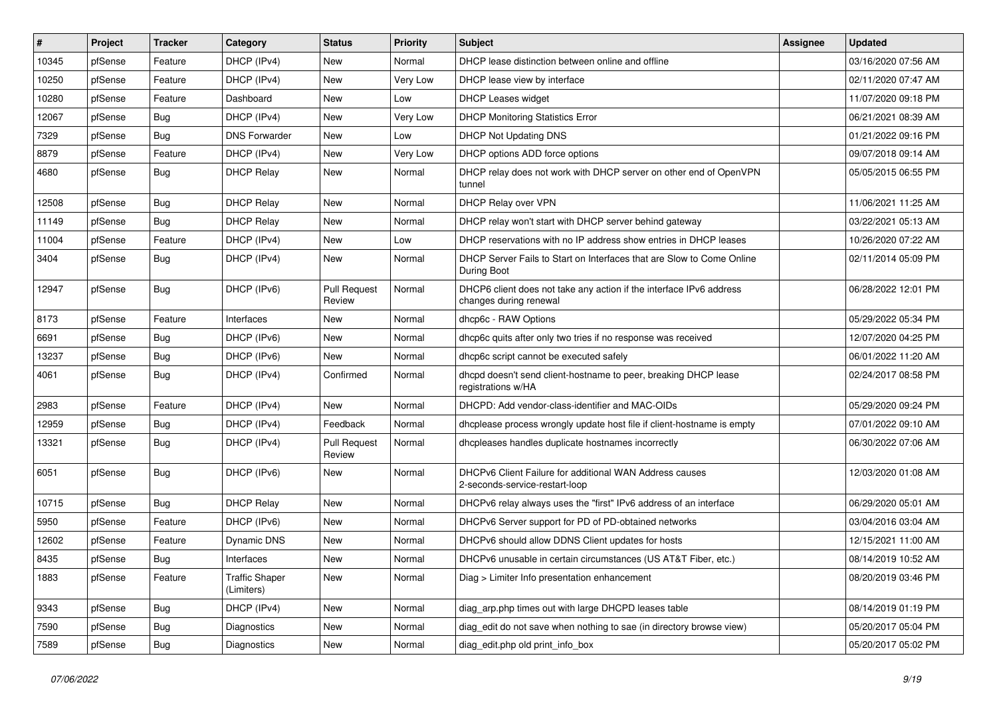| #     | Project | <b>Tracker</b> | Category                            | <b>Status</b>                 | <b>Priority</b> | <b>Subject</b>                                                                                | <b>Assignee</b> | <b>Updated</b>      |
|-------|---------|----------------|-------------------------------------|-------------------------------|-----------------|-----------------------------------------------------------------------------------------------|-----------------|---------------------|
| 10345 | pfSense | Feature        | DHCP (IPv4)                         | New                           | Normal          | DHCP lease distinction between online and offline                                             |                 | 03/16/2020 07:56 AM |
| 10250 | pfSense | Feature        | DHCP (IPv4)                         | New                           | Very Low        | DHCP lease view by interface                                                                  |                 | 02/11/2020 07:47 AM |
| 10280 | pfSense | Feature        | Dashboard                           | New                           | Low             | <b>DHCP Leases widget</b>                                                                     |                 | 11/07/2020 09:18 PM |
| 12067 | pfSense | Bug            | DHCP (IPv4)                         | New                           | Very Low        | <b>DHCP Monitoring Statistics Error</b>                                                       |                 | 06/21/2021 08:39 AM |
| 7329  | pfSense | Bug            | <b>DNS Forwarder</b>                | <b>New</b>                    | Low             | DHCP Not Updating DNS                                                                         |                 | 01/21/2022 09:16 PM |
| 8879  | pfSense | Feature        | DHCP (IPv4)                         | New                           | Very Low        | DHCP options ADD force options                                                                |                 | 09/07/2018 09:14 AM |
| 4680  | pfSense | <b>Bug</b>     | <b>DHCP Relay</b>                   | New                           | Normal          | DHCP relay does not work with DHCP server on other end of OpenVPN<br>tunnel                   |                 | 05/05/2015 06:55 PM |
| 12508 | pfSense | <b>Bug</b>     | <b>DHCP Relay</b>                   | <b>New</b>                    | Normal          | DHCP Relay over VPN                                                                           |                 | 11/06/2021 11:25 AM |
| 11149 | pfSense | Bug            | <b>DHCP Relay</b>                   | <b>New</b>                    | Normal          | DHCP relay won't start with DHCP server behind gateway                                        |                 | 03/22/2021 05:13 AM |
| 11004 | pfSense | Feature        | DHCP (IPv4)                         | New                           | Low             | DHCP reservations with no IP address show entries in DHCP leases                              |                 | 10/26/2020 07:22 AM |
| 3404  | pfSense | <b>Bug</b>     | DHCP (IPv4)                         | New                           | Normal          | DHCP Server Fails to Start on Interfaces that are Slow to Come Online<br>During Boot          |                 | 02/11/2014 05:09 PM |
| 12947 | pfSense | Bug            | DHCP (IPv6)                         | <b>Pull Request</b><br>Review | Normal          | DHCP6 client does not take any action if the interface IPv6 address<br>changes during renewal |                 | 06/28/2022 12:01 PM |
| 8173  | pfSense | Feature        | Interfaces                          | <b>New</b>                    | Normal          | dhcp6c - RAW Options                                                                          |                 | 05/29/2022 05:34 PM |
| 6691  | pfSense | Bug            | DHCP (IPv6)                         | New                           | Normal          | dhcp6c quits after only two tries if no response was received                                 |                 | 12/07/2020 04:25 PM |
| 13237 | pfSense | Bug            | DHCP (IPv6)                         | <b>New</b>                    | Normal          | dhcp6c script cannot be executed safely                                                       |                 | 06/01/2022 11:20 AM |
| 4061  | pfSense | Bug            | DHCP (IPv4)                         | Confirmed                     | Normal          | dhcpd doesn't send client-hostname to peer, breaking DHCP lease<br>registrations w/HA         |                 | 02/24/2017 08:58 PM |
| 2983  | pfSense | Feature        | DHCP (IPv4)                         | <b>New</b>                    | Normal          | DHCPD: Add vendor-class-identifier and MAC-OIDs                                               |                 | 05/29/2020 09:24 PM |
| 12959 | pfSense | <b>Bug</b>     | DHCP (IPv4)                         | Feedback                      | Normal          | dhcplease process wrongly update host file if client-hostname is empty                        |                 | 07/01/2022 09:10 AM |
| 13321 | pfSense | <b>Bug</b>     | DHCP (IPv4)                         | <b>Pull Request</b><br>Review | Normal          | dhcpleases handles duplicate hostnames incorrectly                                            |                 | 06/30/2022 07:06 AM |
| 6051  | pfSense | Bug            | DHCP (IPv6)                         | New                           | Normal          | DHCPv6 Client Failure for additional WAN Address causes<br>2-seconds-service-restart-loop     |                 | 12/03/2020 01:08 AM |
| 10715 | pfSense | Bug            | <b>DHCP Relay</b>                   | New                           | Normal          | DHCPv6 relay always uses the "first" IPv6 address of an interface                             |                 | 06/29/2020 05:01 AM |
| 5950  | pfSense | Feature        | DHCP (IPv6)                         | New                           | Normal          | DHCPv6 Server support for PD of PD-obtained networks                                          |                 | 03/04/2016 03:04 AM |
| 12602 | pfSense | Feature        | Dynamic DNS                         | New                           | Normal          | DHCPv6 should allow DDNS Client updates for hosts                                             |                 | 12/15/2021 11:00 AM |
| 8435  | pfSense | Bug            | Interfaces                          | New                           | Normal          | DHCPv6 unusable in certain circumstances (US AT&T Fiber, etc.)                                |                 | 08/14/2019 10:52 AM |
| 1883  | pfSense | Feature        | <b>Traffic Shaper</b><br>(Limiters) | New                           | Normal          | Diag > Limiter Info presentation enhancement                                                  |                 | 08/20/2019 03:46 PM |
| 9343  | pfSense | Bug            | DHCP (IPv4)                         | New                           | Normal          | diag_arp.php times out with large DHCPD leases table                                          |                 | 08/14/2019 01:19 PM |
| 7590  | pfSense | Bug            | Diagnostics                         | New                           | Normal          | diag_edit do not save when nothing to sae (in directory browse view)                          |                 | 05/20/2017 05:04 PM |
| 7589  | pfSense | Bug            | Diagnostics                         | New                           | Normal          | diag_edit.php old print_info_box                                                              |                 | 05/20/2017 05:02 PM |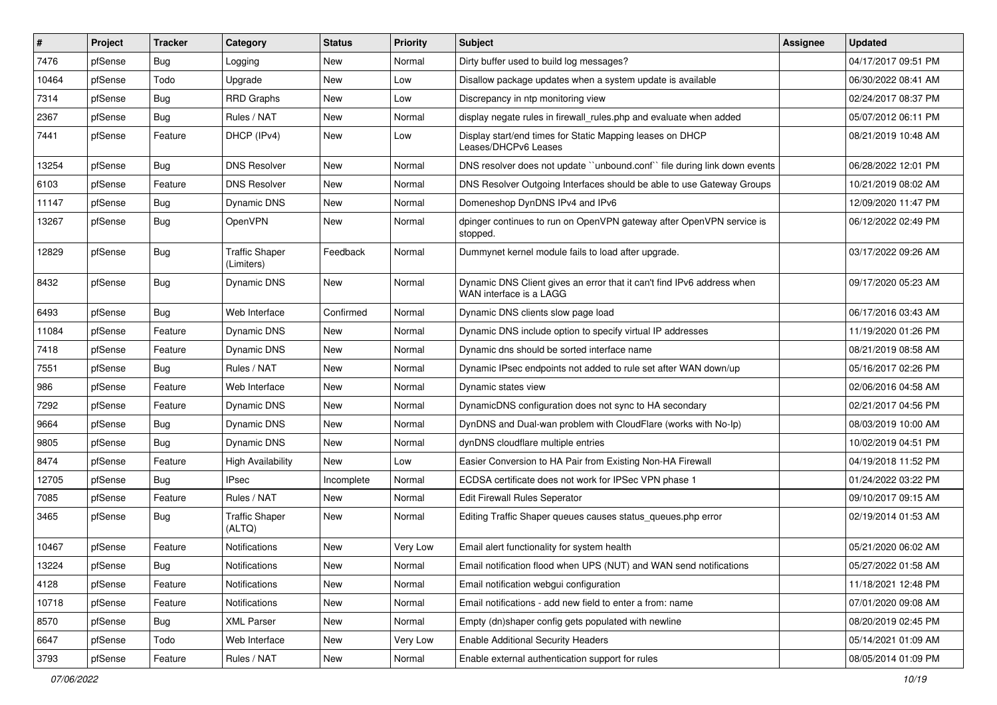| #     | Project | <b>Tracker</b> | Category                            | <b>Status</b> | <b>Priority</b> | Subject                                                                                           | <b>Assignee</b> | <b>Updated</b>      |
|-------|---------|----------------|-------------------------------------|---------------|-----------------|---------------------------------------------------------------------------------------------------|-----------------|---------------------|
| 7476  | pfSense | Bug            | Logging                             | New           | Normal          | Dirty buffer used to build log messages?                                                          |                 | 04/17/2017 09:51 PM |
| 10464 | pfSense | Todo           | Upgrade                             | New           | Low             | Disallow package updates when a system update is available                                        |                 | 06/30/2022 08:41 AM |
| 7314  | pfSense | Bug            | <b>RRD Graphs</b>                   | New           | Low             | Discrepancy in ntp monitoring view                                                                |                 | 02/24/2017 08:37 PM |
| 2367  | pfSense | <b>Bug</b>     | Rules / NAT                         | New           | Normal          | display negate rules in firewall rules.php and evaluate when added                                |                 | 05/07/2012 06:11 PM |
| 7441  | pfSense | Feature        | DHCP (IPv4)                         | New           | Low             | Display start/end times for Static Mapping leases on DHCP<br>Leases/DHCPv6 Leases                 |                 | 08/21/2019 10:48 AM |
| 13254 | pfSense | Bug            | <b>DNS Resolver</b>                 | <b>New</b>    | Normal          | DNS resolver does not update "unbound.conf" file during link down events                          |                 | 06/28/2022 12:01 PM |
| 6103  | pfSense | Feature        | <b>DNS Resolver</b>                 | New           | Normal          | DNS Resolver Outgoing Interfaces should be able to use Gateway Groups                             |                 | 10/21/2019 08:02 AM |
| 11147 | pfSense | <b>Bug</b>     | Dynamic DNS                         | New           | Normal          | Domeneshop DynDNS IPv4 and IPv6                                                                   |                 | 12/09/2020 11:47 PM |
| 13267 | pfSense | <b>Bug</b>     | OpenVPN                             | <b>New</b>    | Normal          | dpinger continues to run on OpenVPN gateway after OpenVPN service is<br>stopped.                  |                 | 06/12/2022 02:49 PM |
| 12829 | pfSense | <b>Bug</b>     | <b>Traffic Shaper</b><br>(Limiters) | Feedback      | Normal          | Dummynet kernel module fails to load after upgrade.                                               |                 | 03/17/2022 09:26 AM |
| 8432  | pfSense | Bug            | Dynamic DNS                         | New           | Normal          | Dynamic DNS Client gives an error that it can't find IPv6 address when<br>WAN interface is a LAGG |                 | 09/17/2020 05:23 AM |
| 6493  | pfSense | Bug            | Web Interface                       | Confirmed     | Normal          | Dynamic DNS clients slow page load                                                                |                 | 06/17/2016 03:43 AM |
| 11084 | pfSense | Feature        | Dynamic DNS                         | New           | Normal          | Dynamic DNS include option to specify virtual IP addresses                                        |                 | 11/19/2020 01:26 PM |
| 7418  | pfSense | Feature        | Dynamic DNS                         | New           | Normal          | Dynamic dns should be sorted interface name                                                       |                 | 08/21/2019 08:58 AM |
| 7551  | pfSense | Bug            | Rules / NAT                         | New           | Normal          | Dynamic IPsec endpoints not added to rule set after WAN down/up                                   |                 | 05/16/2017 02:26 PM |
| 986   | pfSense | Feature        | Web Interface                       | New           | Normal          | Dynamic states view                                                                               |                 | 02/06/2016 04:58 AM |
| 7292  | pfSense | Feature        | Dynamic DNS                         | New           | Normal          | DynamicDNS configuration does not sync to HA secondary                                            |                 | 02/21/2017 04:56 PM |
| 9664  | pfSense | Bug            | Dynamic DNS                         | New           | Normal          | DynDNS and Dual-wan problem with CloudFlare (works with No-Ip)                                    |                 | 08/03/2019 10:00 AM |
| 9805  | pfSense | <b>Bug</b>     | Dynamic DNS                         | New           | Normal          | dynDNS cloudflare multiple entries                                                                |                 | 10/02/2019 04:51 PM |
| 8474  | pfSense | Feature        | <b>High Availability</b>            | <b>New</b>    | Low             | Easier Conversion to HA Pair from Existing Non-HA Firewall                                        |                 | 04/19/2018 11:52 PM |
| 12705 | pfSense | Bug            | <b>IPsec</b>                        | Incomplete    | Normal          | ECDSA certificate does not work for IPSec VPN phase 1                                             |                 | 01/24/2022 03:22 PM |
| 7085  | pfSense | Feature        | Rules / NAT                         | <b>New</b>    | Normal          | Edit Firewall Rules Seperator                                                                     |                 | 09/10/2017 09:15 AM |
| 3465  | pfSense | Bug            | <b>Traffic Shaper</b><br>(ALTQ)     | New           | Normal          | Editing Traffic Shaper queues causes status_queues.php error                                      |                 | 02/19/2014 01:53 AM |
| 10467 | pfSense | Feature        | Notifications                       | <b>New</b>    | Very Low        | Email alert functionality for system health                                                       |                 | 05/21/2020 06:02 AM |
| 13224 | pfSense | Bug            | Notifications                       | New           | Normal          | Email notification flood when UPS (NUT) and WAN send notifications                                |                 | 05/27/2022 01:58 AM |
| 4128  | pfSense | Feature        | Notifications                       | New           | Normal          | Email notification webqui configuration                                                           |                 | 11/18/2021 12:48 PM |
| 10718 | pfSense | Feature        | Notifications                       | New           | Normal          | Email notifications - add new field to enter a from: name                                         |                 | 07/01/2020 09:08 AM |
| 8570  | pfSense | <b>Bug</b>     | <b>XML Parser</b>                   | New           | Normal          | Empty (dn)shaper config gets populated with newline                                               |                 | 08/20/2019 02:45 PM |
| 6647  | pfSense | Todo           | Web Interface                       | New           | Very Low        | <b>Enable Additional Security Headers</b>                                                         |                 | 05/14/2021 01:09 AM |
| 3793  | pfSense | Feature        | Rules / NAT                         | New           | Normal          | Enable external authentication support for rules                                                  |                 | 08/05/2014 01:09 PM |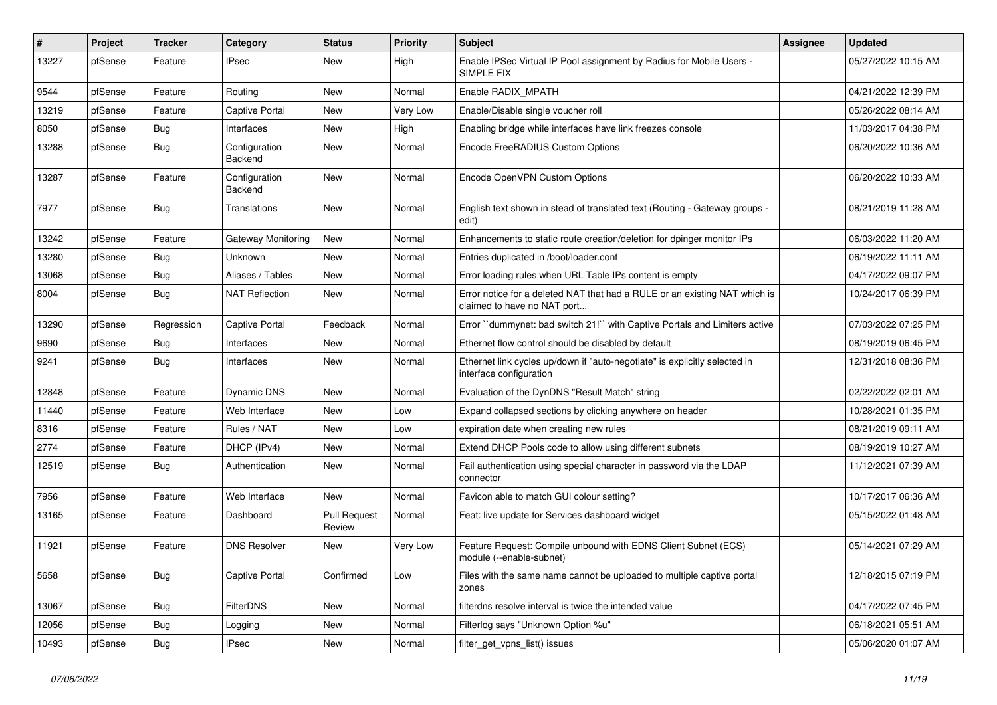| #     | <b>Project</b> | <b>Tracker</b> | Category                 | <b>Status</b>                 | <b>Priority</b> | <b>Subject</b>                                                                                            | Assignee | <b>Updated</b>      |
|-------|----------------|----------------|--------------------------|-------------------------------|-----------------|-----------------------------------------------------------------------------------------------------------|----------|---------------------|
| 13227 | pfSense        | Feature        | IPsec                    | New                           | High            | Enable IPSec Virtual IP Pool assignment by Radius for Mobile Users -<br>SIMPLE FIX                        |          | 05/27/2022 10:15 AM |
| 9544  | pfSense        | Feature        | Routing                  | <b>New</b>                    | Normal          | Enable RADIX_MPATH                                                                                        |          | 04/21/2022 12:39 PM |
| 13219 | pfSense        | Feature        | <b>Captive Portal</b>    | New                           | Very Low        | Enable/Disable single voucher roll                                                                        |          | 05/26/2022 08:14 AM |
| 8050  | pfSense        | <b>Bug</b>     | Interfaces               | New                           | High            | Enabling bridge while interfaces have link freezes console                                                |          | 11/03/2017 04:38 PM |
| 13288 | pfSense        | <b>Bug</b>     | Configuration<br>Backend | New                           | Normal          | Encode FreeRADIUS Custom Options                                                                          |          | 06/20/2022 10:36 AM |
| 13287 | pfSense        | Feature        | Configuration<br>Backend | New                           | Normal          | Encode OpenVPN Custom Options                                                                             |          | 06/20/2022 10:33 AM |
| 7977  | pfSense        | Bug            | Translations             | <b>New</b>                    | Normal          | English text shown in stead of translated text (Routing - Gateway groups -<br>edit)                       |          | 08/21/2019 11:28 AM |
| 13242 | pfSense        | Feature        | Gateway Monitoring       | New                           | Normal          | Enhancements to static route creation/deletion for dpinger monitor IPs                                    |          | 06/03/2022 11:20 AM |
| 13280 | pfSense        | <b>Bug</b>     | Unknown                  | New                           | Normal          | Entries duplicated in /boot/loader.conf                                                                   |          | 06/19/2022 11:11 AM |
| 13068 | pfSense        | <b>Bug</b>     | Aliases / Tables         | New                           | Normal          | Error loading rules when URL Table IPs content is empty                                                   |          | 04/17/2022 09:07 PM |
| 8004  | pfSense        | <b>Bug</b>     | <b>NAT Reflection</b>    | New                           | Normal          | Error notice for a deleted NAT that had a RULE or an existing NAT which is<br>claimed to have no NAT port |          | 10/24/2017 06:39 PM |
| 13290 | pfSense        | Regression     | Captive Portal           | Feedback                      | Normal          | Error "dummynet: bad switch 21!" with Captive Portals and Limiters active                                 |          | 07/03/2022 07:25 PM |
| 9690  | pfSense        | <b>Bug</b>     | Interfaces               | New                           | Normal          | Ethernet flow control should be disabled by default                                                       |          | 08/19/2019 06:45 PM |
| 9241  | pfSense        | <b>Bug</b>     | Interfaces               | New                           | Normal          | Ethernet link cycles up/down if "auto-negotiate" is explicitly selected in<br>interface configuration     |          | 12/31/2018 08:36 PM |
| 12848 | pfSense        | Feature        | <b>Dynamic DNS</b>       | New                           | Normal          | Evaluation of the DynDNS "Result Match" string                                                            |          | 02/22/2022 02:01 AM |
| 11440 | pfSense        | Feature        | Web Interface            | New                           | Low             | Expand collapsed sections by clicking anywhere on header                                                  |          | 10/28/2021 01:35 PM |
| 8316  | pfSense        | Feature        | Rules / NAT              | New                           | Low             | expiration date when creating new rules                                                                   |          | 08/21/2019 09:11 AM |
| 2774  | pfSense        | Feature        | DHCP (IPv4)              | New                           | Normal          | Extend DHCP Pools code to allow using different subnets                                                   |          | 08/19/2019 10:27 AM |
| 12519 | pfSense        | <b>Bug</b>     | Authentication           | New                           | Normal          | Fail authentication using special character in password via the LDAP<br>connector                         |          | 11/12/2021 07:39 AM |
| 7956  | pfSense        | Feature        | Web Interface            | New                           | Normal          | Favicon able to match GUI colour setting?                                                                 |          | 10/17/2017 06:36 AM |
| 13165 | pfSense        | Feature        | Dashboard                | <b>Pull Request</b><br>Review | Normal          | Feat: live update for Services dashboard widget                                                           |          | 05/15/2022 01:48 AM |
| 11921 | pfSense        | Feature        | <b>DNS Resolver</b>      | <b>New</b>                    | Very Low        | Feature Request: Compile unbound with EDNS Client Subnet (ECS)<br>module (--enable-subnet)                |          | 05/14/2021 07:29 AM |
| 5658  | pfSense        | <b>Bug</b>     | Captive Portal           | Confirmed                     | Low             | Files with the same name cannot be uploaded to multiple captive portal<br>zones                           |          | 12/18/2015 07:19 PM |
| 13067 | pfSense        | <b>Bug</b>     | FilterDNS                | New                           | Normal          | filterdns resolve interval is twice the intended value                                                    |          | 04/17/2022 07:45 PM |
| 12056 | pfSense        | <b>Bug</b>     | Logging                  | New                           | Normal          | Filterlog says "Unknown Option %u"                                                                        |          | 06/18/2021 05:51 AM |
| 10493 | pfSense        | Bug            | IPsec                    | New                           | Normal          | filter_get_vpns_list() issues                                                                             |          | 05/06/2020 01:07 AM |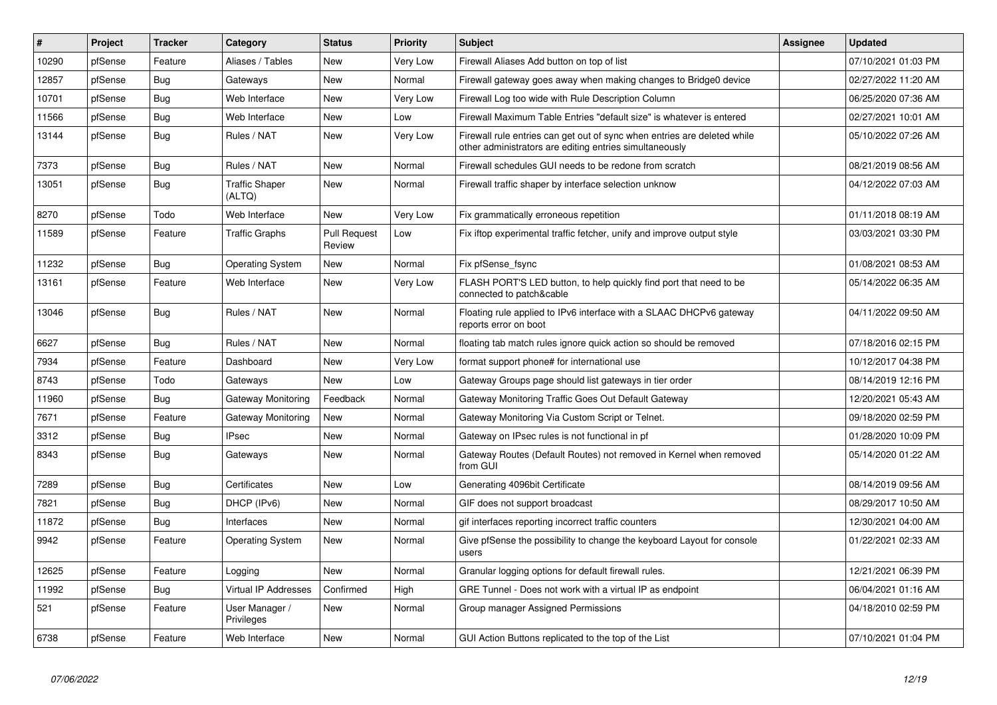| $\sharp$ | Project | <b>Tracker</b> | Category                        | <b>Status</b>                 | <b>Priority</b> | <b>Subject</b>                                                                                                                      | <b>Assignee</b> | <b>Updated</b>      |
|----------|---------|----------------|---------------------------------|-------------------------------|-----------------|-------------------------------------------------------------------------------------------------------------------------------------|-----------------|---------------------|
| 10290    | pfSense | Feature        | Aliases / Tables                | <b>New</b>                    | Very Low        | Firewall Aliases Add button on top of list                                                                                          |                 | 07/10/2021 01:03 PM |
| 12857    | pfSense | Bug            | Gateways                        | New                           | Normal          | Firewall gateway goes away when making changes to Bridge0 device                                                                    |                 | 02/27/2022 11:20 AM |
| 10701    | pfSense | <b>Bug</b>     | Web Interface                   | <b>New</b>                    | Very Low        | Firewall Log too wide with Rule Description Column                                                                                  |                 | 06/25/2020 07:36 AM |
| 11566    | pfSense | <b>Bug</b>     | Web Interface                   | <b>New</b>                    | Low             | Firewall Maximum Table Entries "default size" is whatever is entered                                                                |                 | 02/27/2021 10:01 AM |
| 13144    | pfSense | Bug            | Rules / NAT                     | New                           | Very Low        | Firewall rule entries can get out of sync when entries are deleted while<br>other administrators are editing entries simultaneously |                 | 05/10/2022 07:26 AM |
| 7373     | pfSense | Bug            | Rules / NAT                     | <b>New</b>                    | Normal          | Firewall schedules GUI needs to be redone from scratch                                                                              |                 | 08/21/2019 08:56 AM |
| 13051    | pfSense | Bug            | <b>Traffic Shaper</b><br>(ALTQ) | <b>New</b>                    | Normal          | Firewall traffic shaper by interface selection unknow                                                                               |                 | 04/12/2022 07:03 AM |
| 8270     | pfSense | Todo           | Web Interface                   | <b>New</b>                    | Very Low        | Fix grammatically erroneous repetition                                                                                              |                 | 01/11/2018 08:19 AM |
| 11589    | pfSense | Feature        | <b>Traffic Graphs</b>           | <b>Pull Request</b><br>Review | Low             | Fix iftop experimental traffic fetcher, unify and improve output style                                                              |                 | 03/03/2021 03:30 PM |
| 11232    | pfSense | Bug            | <b>Operating System</b>         | New                           | Normal          | Fix pfSense_fsync                                                                                                                   |                 | 01/08/2021 08:53 AM |
| 13161    | pfSense | Feature        | Web Interface                   | <b>New</b>                    | Very Low        | FLASH PORT'S LED button, to help quickly find port that need to be<br>connected to patch&cable                                      |                 | 05/14/2022 06:35 AM |
| 13046    | pfSense | <b>Bug</b>     | Rules / NAT                     | <b>New</b>                    | Normal          | Floating rule applied to IPv6 interface with a SLAAC DHCPv6 gateway<br>reports error on boot                                        |                 | 04/11/2022 09:50 AM |
| 6627     | pfSense | Bug            | Rules / NAT                     | <b>New</b>                    | Normal          | floating tab match rules ignore quick action so should be removed                                                                   |                 | 07/18/2016 02:15 PM |
| 7934     | pfSense | Feature        | Dashboard                       | <b>New</b>                    | Very Low        | format support phone# for international use                                                                                         |                 | 10/12/2017 04:38 PM |
| 8743     | pfSense | Todo           | Gateways                        | <b>New</b>                    | Low             | Gateway Groups page should list gateways in tier order                                                                              |                 | 08/14/2019 12:16 PM |
| 11960    | pfSense | Bug            | Gateway Monitoring              | Feedback                      | Normal          | Gateway Monitoring Traffic Goes Out Default Gateway                                                                                 |                 | 12/20/2021 05:43 AM |
| 7671     | pfSense | Feature        | Gateway Monitoring              | <b>New</b>                    | Normal          | Gateway Monitoring Via Custom Script or Telnet.                                                                                     |                 | 09/18/2020 02:59 PM |
| 3312     | pfSense | Bug            | IPsec                           | New                           | Normal          | Gateway on IPsec rules is not functional in pf                                                                                      |                 | 01/28/2020 10:09 PM |
| 8343     | pfSense | Bug            | Gateways                        | <b>New</b>                    | Normal          | Gateway Routes (Default Routes) not removed in Kernel when removed<br>from GUI                                                      |                 | 05/14/2020 01:22 AM |
| 7289     | pfSense | <b>Bug</b>     | Certificates                    | <b>New</b>                    | Low             | Generating 4096bit Certificate                                                                                                      |                 | 08/14/2019 09:56 AM |
| 7821     | pfSense | <b>Bug</b>     | DHCP (IPv6)                     | <b>New</b>                    | Normal          | GIF does not support broadcast                                                                                                      |                 | 08/29/2017 10:50 AM |
| 11872    | pfSense | Bug            | Interfaces                      | <b>New</b>                    | Normal          | gif interfaces reporting incorrect traffic counters                                                                                 |                 | 12/30/2021 04:00 AM |
| 9942     | pfSense | Feature        | <b>Operating System</b>         | New                           | Normal          | Give pfSense the possibility to change the keyboard Layout for console<br>users                                                     |                 | 01/22/2021 02:33 AM |
| 12625    | pfSense | Feature        | Logging                         | <b>New</b>                    | Normal          | Granular logging options for default firewall rules.                                                                                |                 | 12/21/2021 06:39 PM |
| 11992    | pfSense | Bug            | <b>Virtual IP Addresses</b>     | Confirmed                     | High            | GRE Tunnel - Does not work with a virtual IP as endpoint                                                                            |                 | 06/04/2021 01:16 AM |
| 521      | pfSense | Feature        | User Manager /<br>Privileges    | <b>New</b>                    | Normal          | Group manager Assigned Permissions                                                                                                  |                 | 04/18/2010 02:59 PM |
| 6738     | pfSense | Feature        | Web Interface                   | New                           | Normal          | GUI Action Buttons replicated to the top of the List                                                                                |                 | 07/10/2021 01:04 PM |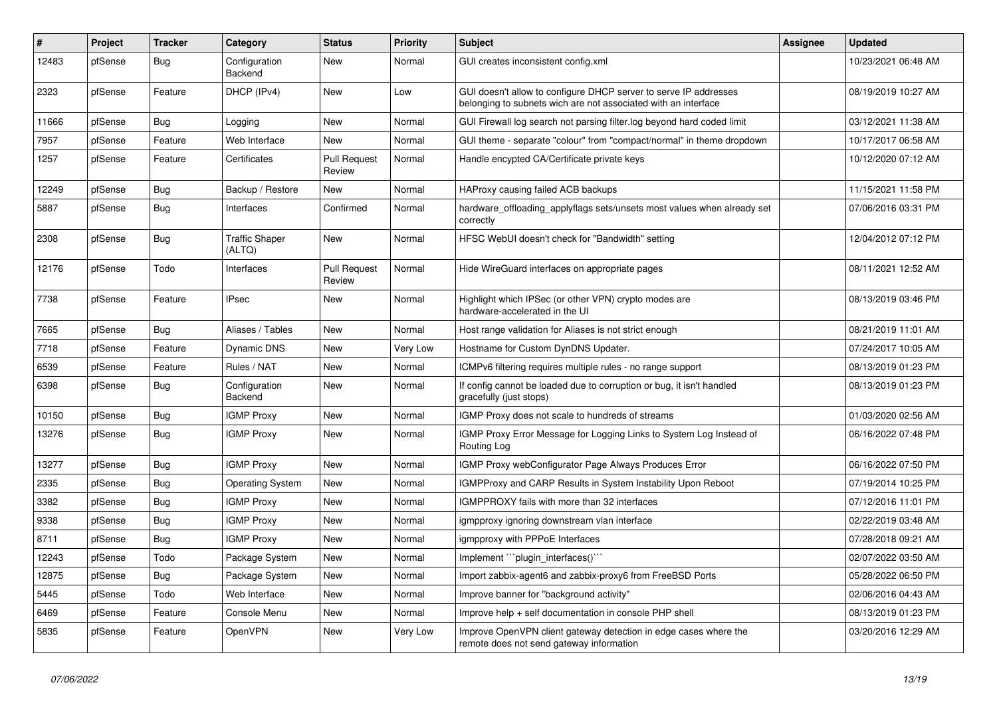| $\sharp$ | Project | <b>Tracker</b> | Category                        | <b>Status</b>                 | Priority | <b>Subject</b>                                                                                                                     | <b>Assignee</b> | <b>Updated</b>      |
|----------|---------|----------------|---------------------------------|-------------------------------|----------|------------------------------------------------------------------------------------------------------------------------------------|-----------------|---------------------|
| 12483    | pfSense | Bug            | Configuration<br>Backend        | New                           | Normal   | GUI creates inconsistent config.xml                                                                                                |                 | 10/23/2021 06:48 AM |
| 2323     | pfSense | Feature        | DHCP (IPv4)                     | <b>New</b>                    | Low      | GUI doesn't allow to configure DHCP server to serve IP addresses<br>belonging to subnets wich are not associated with an interface |                 | 08/19/2019 10:27 AM |
| 11666    | pfSense | <b>Bug</b>     | Logging                         | <b>New</b>                    | Normal   | GUI Firewall log search not parsing filter.log beyond hard coded limit                                                             |                 | 03/12/2021 11:38 AM |
| 7957     | pfSense | Feature        | Web Interface                   | <b>New</b>                    | Normal   | GUI theme - separate "colour" from "compact/normal" in theme dropdown                                                              |                 | 10/17/2017 06:58 AM |
| 1257     | pfSense | Feature        | Certificates                    | <b>Pull Request</b><br>Review | Normal   | Handle encypted CA/Certificate private keys                                                                                        |                 | 10/12/2020 07:12 AM |
| 12249    | pfSense | <b>Bug</b>     | Backup / Restore                | New                           | Normal   | HAProxy causing failed ACB backups                                                                                                 |                 | 11/15/2021 11:58 PM |
| 5887     | pfSense | <b>Bug</b>     | Interfaces                      | Confirmed                     | Normal   | hardware_offloading_applyflags sets/unsets most values when already set<br>correctlv                                               |                 | 07/06/2016 03:31 PM |
| 2308     | pfSense | Bug            | <b>Traffic Shaper</b><br>(ALTQ) | New                           | Normal   | HFSC WebUI doesn't check for "Bandwidth" setting                                                                                   |                 | 12/04/2012 07:12 PM |
| 12176    | pfSense | Todo           | Interfaces                      | <b>Pull Request</b><br>Review | Normal   | Hide WireGuard interfaces on appropriate pages                                                                                     |                 | 08/11/2021 12:52 AM |
| 7738     | pfSense | Feature        | <b>IPsec</b>                    | New                           | Normal   | Highlight which IPSec (or other VPN) crypto modes are<br>hardware-accelerated in the UI                                            |                 | 08/13/2019 03:46 PM |
| 7665     | pfSense | Bug            | Aliases / Tables                | New                           | Normal   | Host range validation for Aliases is not strict enough                                                                             |                 | 08/21/2019 11:01 AM |
| 7718     | pfSense | Feature        | Dynamic DNS                     | <b>New</b>                    | Very Low | Hostname for Custom DynDNS Updater.                                                                                                |                 | 07/24/2017 10:05 AM |
| 6539     | pfSense | Feature        | Rules / NAT                     | New                           | Normal   | ICMPv6 filtering requires multiple rules - no range support                                                                        |                 | 08/13/2019 01:23 PM |
| 6398     | pfSense | <b>Bug</b>     | Configuration<br>Backend        | New                           | Normal   | If config cannot be loaded due to corruption or bug, it isn't handled<br>gracefully (just stops)                                   |                 | 08/13/2019 01:23 PM |
| 10150    | pfSense | Bug            | <b>IGMP Proxy</b>               | <b>New</b>                    | Normal   | IGMP Proxy does not scale to hundreds of streams                                                                                   |                 | 01/03/2020 02:56 AM |
| 13276    | pfSense | Bug            | <b>IGMP Proxy</b>               | New                           | Normal   | IGMP Proxy Error Message for Logging Links to System Log Instead of<br>Routing Log                                                 |                 | 06/16/2022 07:48 PM |
| 13277    | pfSense | Bug            | <b>IGMP Proxy</b>               | New                           | Normal   | IGMP Proxy webConfigurator Page Always Produces Error                                                                              |                 | 06/16/2022 07:50 PM |
| 2335     | pfSense | <b>Bug</b>     | <b>Operating System</b>         | <b>New</b>                    | Normal   | <b>IGMPProxy and CARP Results in System Instability Upon Reboot</b>                                                                |                 | 07/19/2014 10:25 PM |
| 3382     | pfSense | <b>Bug</b>     | <b>IGMP Proxy</b>               | <b>New</b>                    | Normal   | IGMPPROXY fails with more than 32 interfaces                                                                                       |                 | 07/12/2016 11:01 PM |
| 9338     | pfSense | <b>Bug</b>     | <b>IGMP Proxy</b>               | <b>New</b>                    | Normal   | igmpproxy ignoring downstream vlan interface                                                                                       |                 | 02/22/2019 03:48 AM |
| 8711     | pfSense | <b>Bug</b>     | <b>IGMP Proxy</b>               | <b>New</b>                    | Normal   | igmpproxy with PPPoE Interfaces                                                                                                    |                 | 07/28/2018 09:21 AM |
| 12243    | pfSense | Todo           | Package System                  | <b>New</b>                    | Normal   | Implement "plugin interfaces()"                                                                                                    |                 | 02/07/2022 03:50 AM |
| 12875    | pfSense | <b>Bug</b>     | Package System                  | New                           | Normal   | Import zabbix-agent6 and zabbix-proxy6 from FreeBSD Ports                                                                          |                 | 05/28/2022 06:50 PM |
| 5445     | pfSense | Todo           | Web Interface                   | <b>New</b>                    | Normal   | Improve banner for "background activity"                                                                                           |                 | 02/06/2016 04:43 AM |
| 6469     | pfSense | Feature        | Console Menu                    | New                           | Normal   | Improve help + self documentation in console PHP shell                                                                             |                 | 08/13/2019 01:23 PM |
| 5835     | pfSense | Feature        | OpenVPN                         | <b>New</b>                    | Very Low | Improve OpenVPN client gateway detection in edge cases where the<br>remote does not send gateway information                       |                 | 03/20/2016 12:29 AM |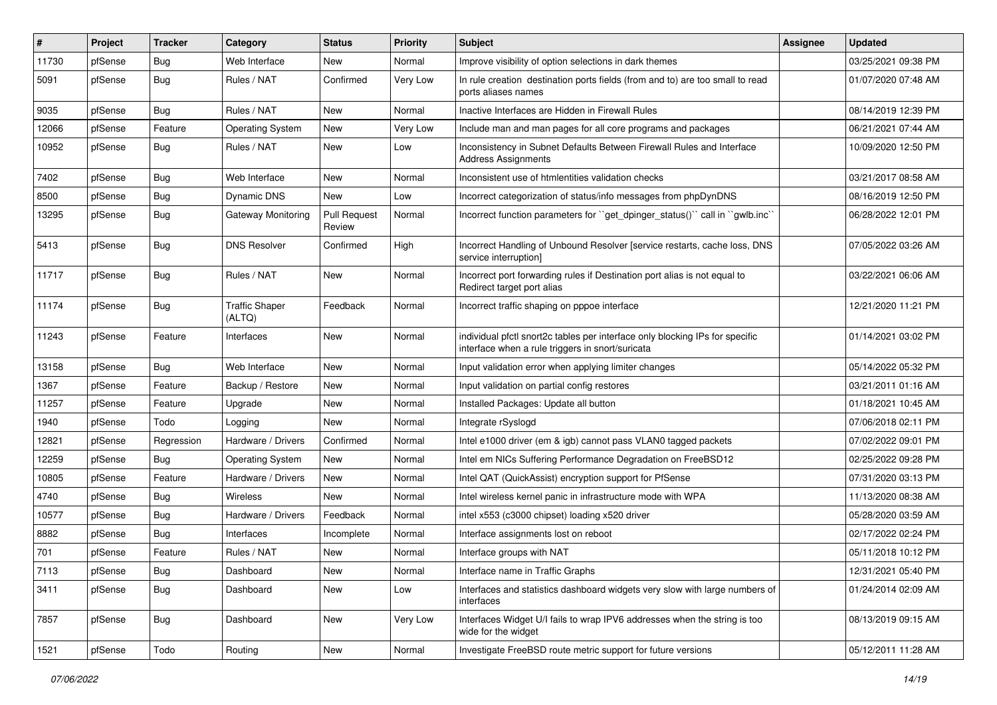| $\vert$ # | Project | <b>Tracker</b> | Category                        | <b>Status</b>                 | <b>Priority</b> | Subject                                                                                                                          | <b>Assignee</b> | <b>Updated</b>      |
|-----------|---------|----------------|---------------------------------|-------------------------------|-----------------|----------------------------------------------------------------------------------------------------------------------------------|-----------------|---------------------|
| 11730     | pfSense | <b>Bug</b>     | Web Interface                   | New                           | Normal          | Improve visibility of option selections in dark themes                                                                           |                 | 03/25/2021 09:38 PM |
| 5091      | pfSense | Bug            | Rules / NAT                     | Confirmed                     | Very Low        | In rule creation destination ports fields (from and to) are too small to read<br>ports aliases names                             |                 | 01/07/2020 07:48 AM |
| 9035      | pfSense | <b>Bug</b>     | Rules / NAT                     | <b>New</b>                    | Normal          | Inactive Interfaces are Hidden in Firewall Rules                                                                                 |                 | 08/14/2019 12:39 PM |
| 12066     | pfSense | Feature        | <b>Operating System</b>         | <b>New</b>                    | Very Low        | Include man and man pages for all core programs and packages                                                                     |                 | 06/21/2021 07:44 AM |
| 10952     | pfSense | Bug            | Rules / NAT                     | <b>New</b>                    | Low             | Inconsistency in Subnet Defaults Between Firewall Rules and Interface<br><b>Address Assignments</b>                              |                 | 10/09/2020 12:50 PM |
| 7402      | pfSense | <b>Bug</b>     | Web Interface                   | <b>New</b>                    | Normal          | Inconsistent use of htmlentities validation checks                                                                               |                 | 03/21/2017 08:58 AM |
| 8500      | pfSense | <b>Bug</b>     | <b>Dynamic DNS</b>              | New                           | Low             | Incorrect categorization of status/info messages from phpDynDNS                                                                  |                 | 08/16/2019 12:50 PM |
| 13295     | pfSense | Bug            | <b>Gateway Monitoring</b>       | <b>Pull Request</b><br>Review | Normal          | Incorrect function parameters for "get_dpinger_status()" call in "gwlb.inc"                                                      |                 | 06/28/2022 12:01 PM |
| 5413      | pfSense | Bug            | <b>DNS Resolver</b>             | Confirmed                     | High            | Incorrect Handling of Unbound Resolver [service restarts, cache loss, DNS<br>service interruption]                               |                 | 07/05/2022 03:26 AM |
| 11717     | pfSense | Bug            | Rules / NAT                     | <b>New</b>                    | Normal          | Incorrect port forwarding rules if Destination port alias is not equal to<br>Redirect target port alias                          |                 | 03/22/2021 06:06 AM |
| 11174     | pfSense | Bug            | <b>Traffic Shaper</b><br>(ALTQ) | Feedback                      | Normal          | Incorrect traffic shaping on pppoe interface                                                                                     |                 | 12/21/2020 11:21 PM |
| 11243     | pfSense | Feature        | Interfaces                      | <b>New</b>                    | Normal          | individual pfctl snort2c tables per interface only blocking IPs for specific<br>interface when a rule triggers in snort/suricata |                 | 01/14/2021 03:02 PM |
| 13158     | pfSense | <b>Bug</b>     | Web Interface                   | <b>New</b>                    | Normal          | Input validation error when applying limiter changes                                                                             |                 | 05/14/2022 05:32 PM |
| 1367      | pfSense | Feature        | Backup / Restore                | New                           | Normal          | Input validation on partial config restores                                                                                      |                 | 03/21/2011 01:16 AM |
| 11257     | pfSense | Feature        | Upgrade                         | New                           | Normal          | Installed Packages: Update all button                                                                                            |                 | 01/18/2021 10:45 AM |
| 1940      | pfSense | Todo           | Logging                         | <b>New</b>                    | Normal          | Integrate rSyslogd                                                                                                               |                 | 07/06/2018 02:11 PM |
| 12821     | pfSense | Regression     | Hardware / Drivers              | Confirmed                     | Normal          | Intel e1000 driver (em & igb) cannot pass VLAN0 tagged packets                                                                   |                 | 07/02/2022 09:01 PM |
| 12259     | pfSense | <b>Bug</b>     | <b>Operating System</b>         | New                           | Normal          | Intel em NICs Suffering Performance Degradation on FreeBSD12                                                                     |                 | 02/25/2022 09:28 PM |
| 10805     | pfSense | Feature        | Hardware / Drivers              | New                           | Normal          | Intel QAT (QuickAssist) encryption support for PfSense                                                                           |                 | 07/31/2020 03:13 PM |
| 4740      | pfSense | <b>Bug</b>     | Wireless                        | <b>New</b>                    | Normal          | Intel wireless kernel panic in infrastructure mode with WPA                                                                      |                 | 11/13/2020 08:38 AM |
| 10577     | pfSense | <b>Bug</b>     | Hardware / Drivers              | Feedback                      | Normal          | intel x553 (c3000 chipset) loading x520 driver                                                                                   |                 | 05/28/2020 03:59 AM |
| 8882      | pfSense | <b>Bug</b>     | Interfaces                      | Incomplete                    | Normal          | Interface assignments lost on reboot                                                                                             |                 | 02/17/2022 02:24 PM |
| 701       | pfSense | Feature        | Rules / NAT                     | New                           | Normal          | Interface groups with NAT                                                                                                        |                 | 05/11/2018 10:12 PM |
| 7113      | pfSense | <b>Bug</b>     | Dashboard                       | New                           | Normal          | Interface name in Traffic Graphs                                                                                                 |                 | 12/31/2021 05:40 PM |
| 3411      | pfSense | <b>Bug</b>     | Dashboard                       | New                           | Low             | Interfaces and statistics dashboard widgets very slow with large numbers of<br>interfaces                                        |                 | 01/24/2014 02:09 AM |
| 7857      | pfSense | Bug            | Dashboard                       | New                           | Very Low        | Interfaces Widget U/I fails to wrap IPV6 addresses when the string is too<br>wide for the widget                                 |                 | 08/13/2019 09:15 AM |
| 1521      | pfSense | Todo           | Routing                         | New                           | Normal          | Investigate FreeBSD route metric support for future versions                                                                     |                 | 05/12/2011 11:28 AM |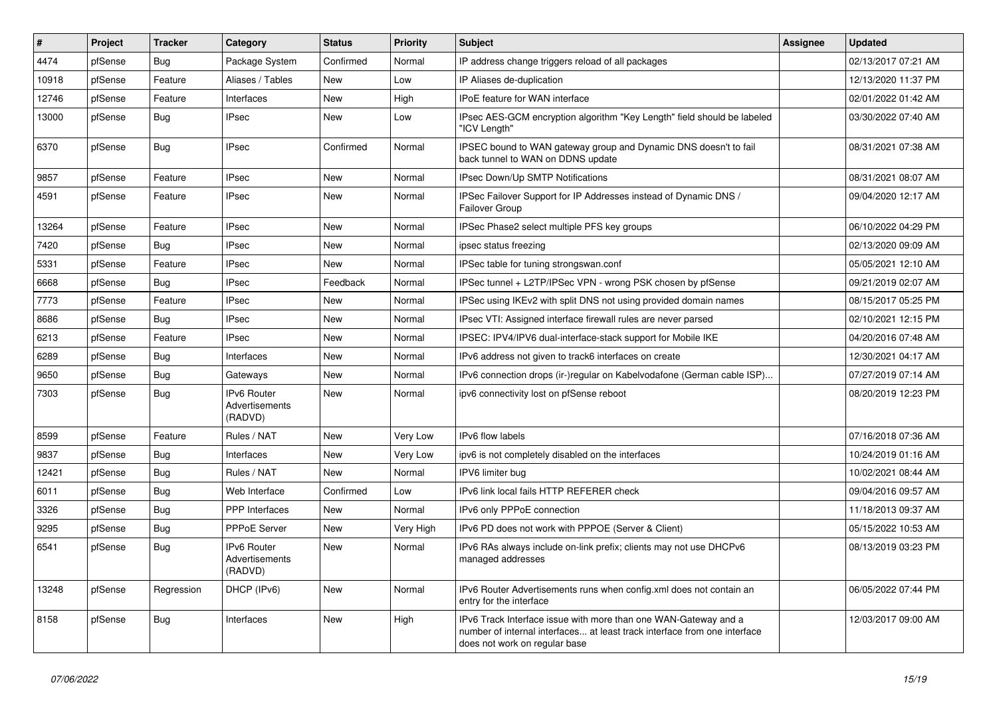| $\sharp$ | Project | <b>Tracker</b> | Category                                        | <b>Status</b> | Priority  | <b>Subject</b>                                                                                                                                                                | Assignee | <b>Updated</b>      |
|----------|---------|----------------|-------------------------------------------------|---------------|-----------|-------------------------------------------------------------------------------------------------------------------------------------------------------------------------------|----------|---------------------|
| 4474     | pfSense | Bug            | Package System                                  | Confirmed     | Normal    | IP address change triggers reload of all packages                                                                                                                             |          | 02/13/2017 07:21 AM |
| 10918    | pfSense | Feature        | Aliases / Tables                                | <b>New</b>    | Low       | IP Aliases de-duplication                                                                                                                                                     |          | 12/13/2020 11:37 PM |
| 12746    | pfSense | Feature        | Interfaces                                      | <b>New</b>    | High      | <b>IPoE feature for WAN interface</b>                                                                                                                                         |          | 02/01/2022 01:42 AM |
| 13000    | pfSense | Bug            | <b>IPsec</b>                                    | New           | Low       | IPsec AES-GCM encryption algorithm "Key Length" field should be labeled<br>'ICV Length"                                                                                       |          | 03/30/2022 07:40 AM |
| 6370     | pfSense | <b>Bug</b>     | <b>IPsec</b>                                    | Confirmed     | Normal    | IPSEC bound to WAN gateway group and Dynamic DNS doesn't to fail<br>back tunnel to WAN on DDNS update                                                                         |          | 08/31/2021 07:38 AM |
| 9857     | pfSense | Feature        | <b>IPsec</b>                                    | <b>New</b>    | Normal    | <b>IPsec Down/Up SMTP Notifications</b>                                                                                                                                       |          | 08/31/2021 08:07 AM |
| 4591     | pfSense | Feature        | <b>IPsec</b>                                    | New           | Normal    | IPSec Failover Support for IP Addresses instead of Dynamic DNS /<br><b>Failover Group</b>                                                                                     |          | 09/04/2020 12:17 AM |
| 13264    | pfSense | Feature        | <b>IPsec</b>                                    | <b>New</b>    | Normal    | IPSec Phase2 select multiple PFS key groups                                                                                                                                   |          | 06/10/2022 04:29 PM |
| 7420     | pfSense | <b>Bug</b>     | <b>IPsec</b>                                    | <b>New</b>    | Normal    | ipsec status freezing                                                                                                                                                         |          | 02/13/2020 09:09 AM |
| 5331     | pfSense | Feature        | <b>IPsec</b>                                    | <b>New</b>    | Normal    | IPSec table for tuning strongswan.conf                                                                                                                                        |          | 05/05/2021 12:10 AM |
| 6668     | pfSense | <b>Bug</b>     | <b>IPsec</b>                                    | Feedback      | Normal    | IPSec tunnel + L2TP/IPSec VPN - wrong PSK chosen by pfSense                                                                                                                   |          | 09/21/2019 02:07 AM |
| 7773     | pfSense | Feature        | <b>IPsec</b>                                    | <b>New</b>    | Normal    | IPSec using IKEv2 with split DNS not using provided domain names                                                                                                              |          | 08/15/2017 05:25 PM |
| 8686     | pfSense | <b>Bug</b>     | <b>IPsec</b>                                    | <b>New</b>    | Normal    | IPsec VTI: Assigned interface firewall rules are never parsed                                                                                                                 |          | 02/10/2021 12:15 PM |
| 6213     | pfSense | Feature        | <b>IPsec</b>                                    | <b>New</b>    | Normal    | IPSEC: IPV4/IPV6 dual-interface-stack support for Mobile IKE                                                                                                                  |          | 04/20/2016 07:48 AM |
| 6289     | pfSense | <b>Bug</b>     | Interfaces                                      | <b>New</b>    | Normal    | IPv6 address not given to track6 interfaces on create                                                                                                                         |          | 12/30/2021 04:17 AM |
| 9650     | pfSense | Bug            | Gateways                                        | <b>New</b>    | Normal    | IPv6 connection drops (ir-)regular on Kabelvodafone (German cable ISP)                                                                                                        |          | 07/27/2019 07:14 AM |
| 7303     | pfSense | Bug            | <b>IPv6 Router</b><br>Advertisements<br>(RADVD) | New           | Normal    | ipv6 connectivity lost on pfSense reboot                                                                                                                                      |          | 08/20/2019 12:23 PM |
| 8599     | pfSense | Feature        | Rules / NAT                                     | <b>New</b>    | Very Low  | <b>IPv6</b> flow labels                                                                                                                                                       |          | 07/16/2018 07:36 AM |
| 9837     | pfSense | <b>Bug</b>     | Interfaces                                      | <b>New</b>    | Very Low  | ipv6 is not completely disabled on the interfaces                                                                                                                             |          | 10/24/2019 01:16 AM |
| 12421    | pfSense | Bug            | Rules / NAT                                     | <b>New</b>    | Normal    | IPV6 limiter bug                                                                                                                                                              |          | 10/02/2021 08:44 AM |
| 6011     | pfSense | Bug            | Web Interface                                   | Confirmed     | Low       | IPv6 link local fails HTTP REFERER check                                                                                                                                      |          | 09/04/2016 09:57 AM |
| 3326     | pfSense | Bug            | PPP Interfaces                                  | New           | Normal    | IPv6 only PPPoE connection                                                                                                                                                    |          | 11/18/2013 09:37 AM |
| 9295     | pfSense | Bug            | <b>PPPoE Server</b>                             | <b>New</b>    | Very High | IPv6 PD does not work with PPPOE (Server & Client)                                                                                                                            |          | 05/15/2022 10:53 AM |
| 6541     | pfSense | <b>Bug</b>     | <b>IPv6 Router</b><br>Advertisements<br>(RADVD) | New           | Normal    | IPv6 RAs always include on-link prefix; clients may not use DHCPv6<br>managed addresses                                                                                       |          | 08/13/2019 03:23 PM |
| 13248    | pfSense | Regression     | DHCP (IPv6)                                     | New           | Normal    | IPv6 Router Advertisements runs when config.xml does not contain an<br>entry for the interface                                                                                |          | 06/05/2022 07:44 PM |
| 8158     | pfSense | <b>Bug</b>     | Interfaces                                      | <b>New</b>    | High      | IPv6 Track Interface issue with more than one WAN-Gateway and a<br>number of internal interfaces at least track interface from one interface<br>does not work on regular base |          | 12/03/2017 09:00 AM |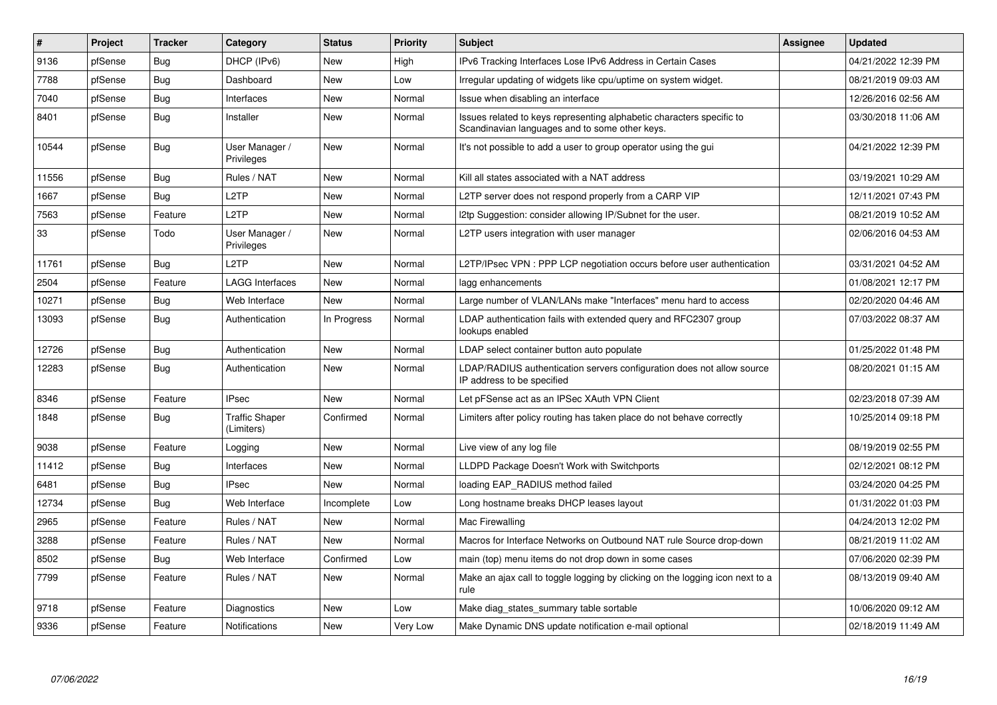| $\pmb{\#}$ | Project | <b>Tracker</b> | Category                            | <b>Status</b> | Priority | <b>Subject</b>                                                                                                          | Assignee | <b>Updated</b>      |
|------------|---------|----------------|-------------------------------------|---------------|----------|-------------------------------------------------------------------------------------------------------------------------|----------|---------------------|
| 9136       | pfSense | Bug            | DHCP (IPv6)                         | New           | High     | IPv6 Tracking Interfaces Lose IPv6 Address in Certain Cases                                                             |          | 04/21/2022 12:39 PM |
| 7788       | pfSense | Bug            | Dashboard                           | New           | Low      | Irregular updating of widgets like cpu/uptime on system widget.                                                         |          | 08/21/2019 09:03 AM |
| 7040       | pfSense | <b>Bug</b>     | Interfaces                          | New           | Normal   | Issue when disabling an interface                                                                                       |          | 12/26/2016 02:56 AM |
| 8401       | pfSense | <b>Bug</b>     | Installer                           | <b>New</b>    | Normal   | Issues related to keys representing alphabetic characters specific to<br>Scandinavian languages and to some other keys. |          | 03/30/2018 11:06 AM |
| 10544      | pfSense | <b>Bug</b>     | User Manager /<br>Privileges        | <b>New</b>    | Normal   | It's not possible to add a user to group operator using the gui                                                         |          | 04/21/2022 12:39 PM |
| 11556      | pfSense | Bug            | Rules / NAT                         | <b>New</b>    | Normal   | Kill all states associated with a NAT address                                                                           |          | 03/19/2021 10:29 AM |
| 1667       | pfSense | Bug            | L <sub>2</sub> TP                   | New           | Normal   | L2TP server does not respond properly from a CARP VIP                                                                   |          | 12/11/2021 07:43 PM |
| 7563       | pfSense | Feature        | L <sub>2</sub> TP                   | <b>New</b>    | Normal   | 2tp Suggestion: consider allowing IP/Subnet for the user.                                                               |          | 08/21/2019 10:52 AM |
| 33         | pfSense | Todo           | User Manager /<br>Privileges        | New           | Normal   | L2TP users integration with user manager                                                                                |          | 02/06/2016 04:53 AM |
| 11761      | pfSense | Bug            | L <sub>2</sub> TP                   | <b>New</b>    | Normal   | L2TP/IPsec VPN : PPP LCP negotiation occurs before user authentication                                                  |          | 03/31/2021 04:52 AM |
| 2504       | pfSense | Feature        | <b>LAGG Interfaces</b>              | New           | Normal   | lagg enhancements                                                                                                       |          | 01/08/2021 12:17 PM |
| 10271      | pfSense | Bug            | Web Interface                       | New           | Normal   | Large number of VLAN/LANs make "Interfaces" menu hard to access                                                         |          | 02/20/2020 04:46 AM |
| 13093      | pfSense | Bug            | Authentication                      | In Progress   | Normal   | LDAP authentication fails with extended query and RFC2307 group<br>lookups enabled                                      |          | 07/03/2022 08:37 AM |
| 12726      | pfSense | <b>Bug</b>     | Authentication                      | New           | Normal   | LDAP select container button auto populate                                                                              |          | 01/25/2022 01:48 PM |
| 12283      | pfSense | Bug            | Authentication                      | New           | Normal   | LDAP/RADIUS authentication servers configuration does not allow source<br>IP address to be specified                    |          | 08/20/2021 01:15 AM |
| 8346       | pfSense | Feature        | <b>IPsec</b>                        | <b>New</b>    | Normal   | Let pFSense act as an IPSec XAuth VPN Client                                                                            |          | 02/23/2018 07:39 AM |
| 1848       | pfSense | <b>Bug</b>     | <b>Traffic Shaper</b><br>(Limiters) | Confirmed     | Normal   | Limiters after policy routing has taken place do not behave correctly                                                   |          | 10/25/2014 09:18 PM |
| 9038       | pfSense | Feature        | Logging                             | New           | Normal   | Live view of any log file                                                                                               |          | 08/19/2019 02:55 PM |
| 11412      | pfSense | <b>Bug</b>     | Interfaces                          | New           | Normal   | LLDPD Package Doesn't Work with Switchports                                                                             |          | 02/12/2021 08:12 PM |
| 6481       | pfSense | <b>Bug</b>     | <b>IPsec</b>                        | New           | Normal   | loading EAP RADIUS method failed                                                                                        |          | 03/24/2020 04:25 PM |
| 12734      | pfSense | <b>Bug</b>     | Web Interface                       | Incomplete    | Low      | Long hostname breaks DHCP leases layout                                                                                 |          | 01/31/2022 01:03 PM |
| 2965       | pfSense | Feature        | Rules / NAT                         | <b>New</b>    | Normal   | Mac Firewalling                                                                                                         |          | 04/24/2013 12:02 PM |
| 3288       | pfSense | Feature        | Rules / NAT                         | <b>New</b>    | Normal   | Macros for Interface Networks on Outbound NAT rule Source drop-down                                                     |          | 08/21/2019 11:02 AM |
| 8502       | pfSense | <b>Bug</b>     | Web Interface                       | Confirmed     | Low      | main (top) menu items do not drop down in some cases                                                                    |          | 07/06/2020 02:39 PM |
| 7799       | pfSense | Feature        | Rules / NAT                         | New           | Normal   | Make an ajax call to toggle logging by clicking on the logging icon next to a<br>rule                                   |          | 08/13/2019 09:40 AM |
| 9718       | pfSense | Feature        | Diagnostics                         | New           | Low      | Make diag states summary table sortable                                                                                 |          | 10/06/2020 09:12 AM |
| 9336       | pfSense | Feature        | <b>Notifications</b>                | New           | Very Low | Make Dynamic DNS update notification e-mail optional                                                                    |          | 02/18/2019 11:49 AM |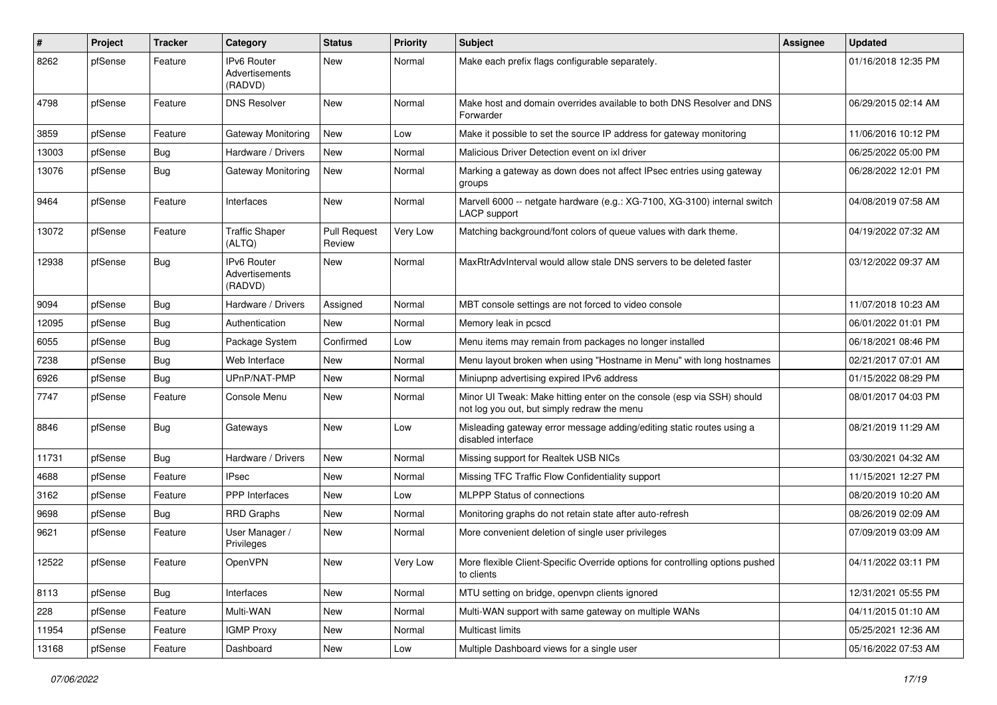| #     | Project | <b>Tracker</b> | Category                                 | <b>Status</b>                 | <b>Priority</b> | <b>Subject</b>                                                                                                        | Assignee | <b>Updated</b>      |
|-------|---------|----------------|------------------------------------------|-------------------------------|-----------------|-----------------------------------------------------------------------------------------------------------------------|----------|---------------------|
| 8262  | pfSense | Feature        | IPv6 Router<br>Advertisements<br>(RADVD) | New                           | Normal          | Make each prefix flags configurable separately.                                                                       |          | 01/16/2018 12:35 PM |
| 4798  | pfSense | Feature        | <b>DNS Resolver</b>                      | <b>New</b>                    | Normal          | Make host and domain overrides available to both DNS Resolver and DNS<br>Forwarder                                    |          | 06/29/2015 02:14 AM |
| 3859  | pfSense | Feature        | Gateway Monitoring                       | New                           | Low             | Make it possible to set the source IP address for gateway monitoring                                                  |          | 11/06/2016 10:12 PM |
| 13003 | pfSense | Bug            | Hardware / Drivers                       | New                           | Normal          | Malicious Driver Detection event on ixl driver                                                                        |          | 06/25/2022 05:00 PM |
| 13076 | pfSense | Bug            | Gateway Monitoring                       | New                           | Normal          | Marking a gateway as down does not affect IPsec entries using gateway<br>groups                                       |          | 06/28/2022 12:01 PM |
| 9464  | pfSense | Feature        | Interfaces                               | New                           | Normal          | Marvell 6000 -- netgate hardware (e.g.: XG-7100, XG-3100) internal switch<br><b>LACP</b> support                      |          | 04/08/2019 07:58 AM |
| 13072 | pfSense | Feature        | <b>Traffic Shaper</b><br>(ALTQ)          | <b>Pull Request</b><br>Review | Very Low        | Matching background/font colors of queue values with dark theme.                                                      |          | 04/19/2022 07:32 AM |
| 12938 | pfSense | Bug            | IPv6 Router<br>Advertisements<br>(RADVD) | <b>New</b>                    | Normal          | MaxRtrAdvInterval would allow stale DNS servers to be deleted faster                                                  |          | 03/12/2022 09:37 AM |
| 9094  | pfSense | Bug            | Hardware / Drivers                       | Assigned                      | Normal          | MBT console settings are not forced to video console                                                                  |          | 11/07/2018 10:23 AM |
| 12095 | pfSense | Bug            | Authentication                           | New                           | Normal          | Memory leak in pcscd                                                                                                  |          | 06/01/2022 01:01 PM |
| 6055  | pfSense | <b>Bug</b>     | Package System                           | Confirmed                     | Low             | Menu items may remain from packages no longer installed                                                               |          | 06/18/2021 08:46 PM |
| 7238  | pfSense | <b>Bug</b>     | Web Interface                            | New                           | Normal          | Menu layout broken when using "Hostname in Menu" with long hostnames                                                  |          | 02/21/2017 07:01 AM |
| 6926  | pfSense | Bug            | UPnP/NAT-PMP                             | New                           | Normal          | Miniupnp advertising expired IPv6 address                                                                             |          | 01/15/2022 08:29 PM |
| 7747  | pfSense | Feature        | Console Menu                             | New                           | Normal          | Minor UI Tweak: Make hitting enter on the console (esp via SSH) should<br>not log you out, but simply redraw the menu |          | 08/01/2017 04:03 PM |
| 8846  | pfSense | <b>Bug</b>     | Gateways                                 | <b>New</b>                    | Low             | Misleading gateway error message adding/editing static routes using a<br>disabled interface                           |          | 08/21/2019 11:29 AM |
| 11731 | pfSense | <b>Bug</b>     | Hardware / Drivers                       | <b>New</b>                    | Normal          | Missing support for Realtek USB NICs                                                                                  |          | 03/30/2021 04:32 AM |
| 4688  | pfSense | Feature        | <b>IPsec</b>                             | New                           | Normal          | Missing TFC Traffic Flow Confidentiality support                                                                      |          | 11/15/2021 12:27 PM |
| 3162  | pfSense | Feature        | PPP Interfaces                           | New                           | Low             | <b>MLPPP Status of connections</b>                                                                                    |          | 08/20/2019 10:20 AM |
| 9698  | pfSense | <b>Bug</b>     | <b>RRD Graphs</b>                        | New                           | Normal          | Monitoring graphs do not retain state after auto-refresh                                                              |          | 08/26/2019 02:09 AM |
| 9621  | pfSense | Feature        | User Manager /<br>Privileges             | New                           | Normal          | More convenient deletion of single user privileges                                                                    |          | 07/09/2019 03:09 AM |
| 12522 | pfSense | Feature        | OpenVPN                                  | New                           | Very Low        | More flexible Client-Specific Override options for controlling options pushed<br>to clients                           |          | 04/11/2022 03:11 PM |
| 8113  | pfSense | Bug            | Interfaces                               | New                           | Normal          | MTU setting on bridge, openvpn clients ignored                                                                        |          | 12/31/2021 05:55 PM |
| 228   | pfSense | Feature        | Multi-WAN                                | New                           | Normal          | Multi-WAN support with same gateway on multiple WANs                                                                  |          | 04/11/2015 01:10 AM |
| 11954 | pfSense | Feature        | <b>IGMP Proxy</b>                        | New                           | Normal          | Multicast limits                                                                                                      |          | 05/25/2021 12:36 AM |
| 13168 | pfSense | Feature        | Dashboard                                | New                           | Low             | Multiple Dashboard views for a single user                                                                            |          | 05/16/2022 07:53 AM |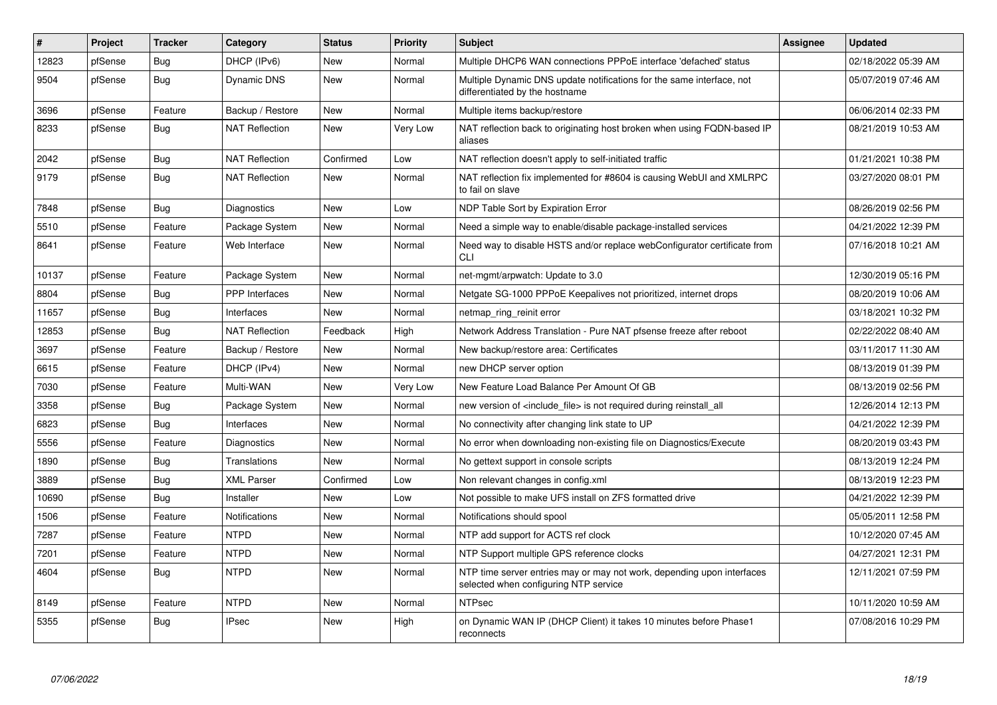| #     | Project | <b>Tracker</b> | Category              | <b>Status</b> | <b>Priority</b> | <b>Subject</b>                                                                                                  | Assignee | <b>Updated</b>      |
|-------|---------|----------------|-----------------------|---------------|-----------------|-----------------------------------------------------------------------------------------------------------------|----------|---------------------|
| 12823 | pfSense | Bug            | DHCP (IPv6)           | <b>New</b>    | Normal          | Multiple DHCP6 WAN connections PPPoE interface 'defached' status                                                |          | 02/18/2022 05:39 AM |
| 9504  | pfSense | <b>Bug</b>     | Dynamic DNS           | <b>New</b>    | Normal          | Multiple Dynamic DNS update notifications for the same interface, not<br>differentiated by the hostname         |          | 05/07/2019 07:46 AM |
| 3696  | pfSense | Feature        | Backup / Restore      | New           | Normal          | Multiple items backup/restore                                                                                   |          | 06/06/2014 02:33 PM |
| 8233  | pfSense | <b>Bug</b>     | <b>NAT Reflection</b> | New           | Very Low        | NAT reflection back to originating host broken when using FQDN-based IP<br>aliases                              |          | 08/21/2019 10:53 AM |
| 2042  | pfSense | Bug            | <b>NAT Reflection</b> | Confirmed     | Low             | NAT reflection doesn't apply to self-initiated traffic                                                          |          | 01/21/2021 10:38 PM |
| 9179  | pfSense | <b>Bug</b>     | <b>NAT Reflection</b> | <b>New</b>    | Normal          | NAT reflection fix implemented for #8604 is causing WebUI and XMLRPC<br>to fail on slave                        |          | 03/27/2020 08:01 PM |
| 7848  | pfSense | Bug            | Diagnostics           | New           | Low             | NDP Table Sort by Expiration Error                                                                              |          | 08/26/2019 02:56 PM |
| 5510  | pfSense | Feature        | Package System        | New           | Normal          | Need a simple way to enable/disable package-installed services                                                  |          | 04/21/2022 12:39 PM |
| 8641  | pfSense | Feature        | Web Interface         | <b>New</b>    | Normal          | Need way to disable HSTS and/or replace webConfigurator certificate from<br><b>CLI</b>                          |          | 07/16/2018 10:21 AM |
| 10137 | pfSense | Feature        | Package System        | <b>New</b>    | Normal          | net-mgmt/arpwatch: Update to 3.0                                                                                |          | 12/30/2019 05:16 PM |
| 8804  | pfSense | Bug            | <b>PPP</b> Interfaces | New           | Normal          | Netgate SG-1000 PPPoE Keepalives not prioritized, internet drops                                                |          | 08/20/2019 10:06 AM |
| 11657 | pfSense | Bug            | Interfaces            | New           | Normal          | netmap ring reinit error                                                                                        |          | 03/18/2021 10:32 PM |
| 12853 | pfSense | <b>Bug</b>     | <b>NAT Reflection</b> | Feedback      | High            | Network Address Translation - Pure NAT pfsense freeze after reboot                                              |          | 02/22/2022 08:40 AM |
| 3697  | pfSense | Feature        | Backup / Restore      | <b>New</b>    | Normal          | New backup/restore area: Certificates                                                                           |          | 03/11/2017 11:30 AM |
| 6615  | pfSense | Feature        | DHCP (IPv4)           | New           | Normal          | new DHCP server option                                                                                          |          | 08/13/2019 01:39 PM |
| 7030  | pfSense | Feature        | Multi-WAN             | New           | Very Low        | New Feature Load Balance Per Amount Of GB                                                                       |          | 08/13/2019 02:56 PM |
| 3358  | pfSense | <b>Bug</b>     | Package System        | <b>New</b>    | Normal          | new version of <include_file> is not required during reinstall_all</include_file>                               |          | 12/26/2014 12:13 PM |
| 6823  | pfSense | Bug            | Interfaces            | New           | Normal          | No connectivity after changing link state to UP                                                                 |          | 04/21/2022 12:39 PM |
| 5556  | pfSense | Feature        | Diagnostics           | New           | Normal          | No error when downloading non-existing file on Diagnostics/Execute                                              |          | 08/20/2019 03:43 PM |
| 1890  | pfSense | <b>Bug</b>     | <b>Translations</b>   | New           | Normal          | No gettext support in console scripts                                                                           |          | 08/13/2019 12:24 PM |
| 3889  | pfSense | Bug            | <b>XML Parser</b>     | Confirmed     | Low             | Non relevant changes in config.xml                                                                              |          | 08/13/2019 12:23 PM |
| 10690 | pfSense | Bug            | Installer             | New           | Low             | Not possible to make UFS install on ZFS formatted drive                                                         |          | 04/21/2022 12:39 PM |
| 1506  | pfSense | Feature        | <b>Notifications</b>  | <b>New</b>    | Normal          | Notifications should spool                                                                                      |          | 05/05/2011 12:58 PM |
| 7287  | pfSense | Feature        | <b>NTPD</b>           | New           | Normal          | NTP add support for ACTS ref clock                                                                              |          | 10/12/2020 07:45 AM |
| 7201  | pfSense | Feature        | <b>NTPD</b>           | <b>New</b>    | Normal          | NTP Support multiple GPS reference clocks                                                                       |          | 04/27/2021 12:31 PM |
| 4604  | pfSense | <b>Bug</b>     | <b>NTPD</b>           | New           | Normal          | NTP time server entries may or may not work, depending upon interfaces<br>selected when configuring NTP service |          | 12/11/2021 07:59 PM |
| 8149  | pfSense | Feature        | <b>NTPD</b>           | New           | Normal          | <b>NTPsec</b>                                                                                                   |          | 10/11/2020 10:59 AM |
| 5355  | pfSense | Bug            | <b>IPsec</b>          | <b>New</b>    | High            | on Dynamic WAN IP (DHCP Client) it takes 10 minutes before Phase1<br>reconnects                                 |          | 07/08/2016 10:29 PM |